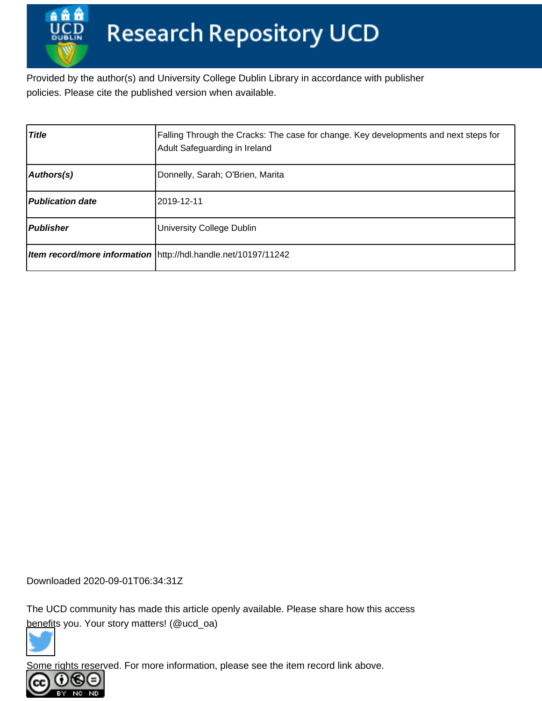Provided by the author(s) and University College Dublin Library in accordance with publisher policies. Please cite the published version when available.

| <b>Title</b>            | Falling Through the Cracks: The case for change. Key developments and next steps for<br>Adult Safeguarding in Ireland |
|-------------------------|-----------------------------------------------------------------------------------------------------------------------|
| Authors(s)              | Donnelly, Sarah; O'Brien, Marita                                                                                      |
| <b>Publication date</b> | l2019-12-11                                                                                                           |
| Publisher               | University College Dublin                                                                                             |
|                         | <b>Item record/more information</b>   http://hdl.handle.net/10197/11242                                               |

Downloaded 2020-09-01T06:34:31Z

The UCD community has made this article openly available. Please share how this access [benefit](https://twitter.com/intent/tweet?via=ucd_oa&text=Falling+Through+the+Cracks%3A+The+case+...&url=http%3A%2F%2Fhdl.handle.net%2F10197%2F11242)s you. Your story matters! (@ucd\_oa)



Some rights reserved. For more information, please see the item record link above.

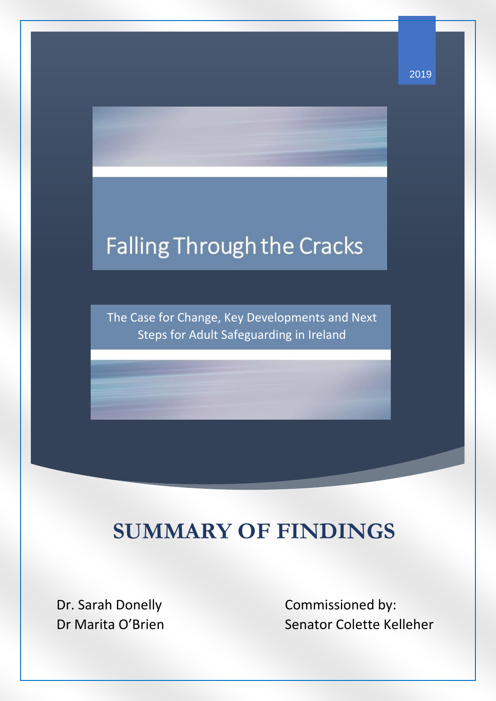# **Falling Through the Cracks**

The Case for Change, Key Developments and Next Steps for Adult Safeguarding in Ireland

# **SUMMARY OF FINDINGS**

Dr. Sarah Donelly Dr Marita O'Brien

I

Commissioned by: Senator Colette Kelleher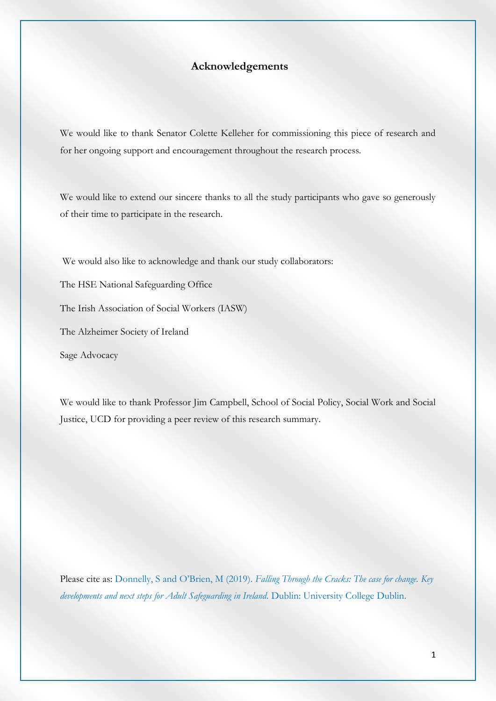#### **Acknowledgements**

We would like to thank Senator Colette Kelleher for commissioning this piece of research and for her ongoing support and encouragement throughout the research process.

We would like to extend our sincere thanks to all the study participants who gave so generously of their time to participate in the research.

We would also like to acknowledge and thank our study collaborators: The HSE National Safeguarding Office The Irish Association of Social Workers (IASW) The Alzheimer Society of Ireland Sage Advocacy

We would like to thank Professor Jim Campbell, School of Social Policy, Social Work and Social Justice, UCD for providing a peer review of this research summary.

Please cite as: Donnelly, S and O'Brien, M (2019). *Falling Through the Cracks: The case for change. Key developments and next steps for Adult Safeguarding in Ireland.* Dublin: University College Dublin.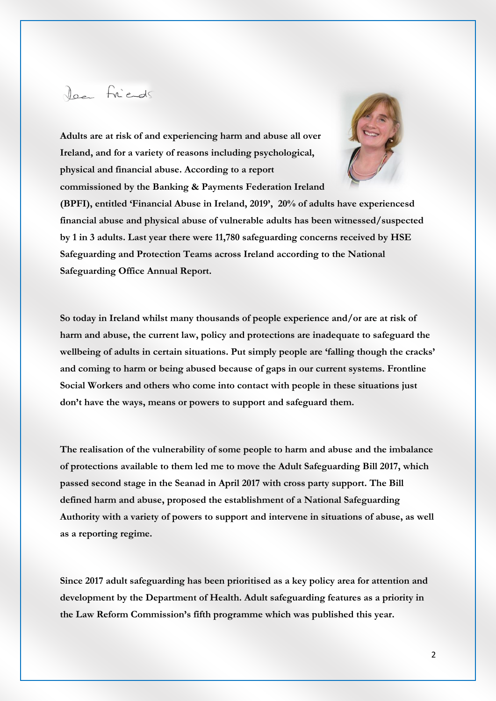# Jaan Friends

**Adults are at risk of and experiencing harm and abuse all over Ireland, and for a variety of reasons including psychological, physical and financial abuse. According to a report commissioned by the Banking & Payments Federation Ireland** 



**(BPFI), entitled 'Financial Abuse in Ireland, 2019', 20% of adults have experiencesd financial abuse and physical abuse of vulnerable adults has been witnessed/suspected by 1 in 3 adults. Last year there were 11,780 safeguarding concerns received by HSE Safeguarding and Protection Teams across Ireland according to the National Safeguarding Office Annual Report.**

**So today in Ireland whilst many thousands of people experience and/or are at risk of harm and abuse, the current law, policy and protections are inadequate to safeguard the wellbeing of adults in certain situations. Put simply people are 'falling though the cracks' and coming to harm or being abused because of gaps in our current systems. Frontline Social Workers and others who come into contact with people in these situations just don't have the ways, means or powers to support and safeguard them.**

**The realisation of the vulnerability of some people to harm and abuse and the imbalance of protections available to them led me to move the Adult Safeguarding Bill 2017, which passed second stage in the Seanad in April 2017 with cross party support. The Bill defined harm and abuse, proposed the establishment of a National Safeguarding Authority with a variety of powers to support and intervene in situations of abuse, as well as a reporting regime.**

**Since 2017 adult safeguarding has been prioritised as a key policy area for attention and development by the Department of Health. Adult safeguarding features as a priority in the Law Reform Commission's fifth programme which was published this year.**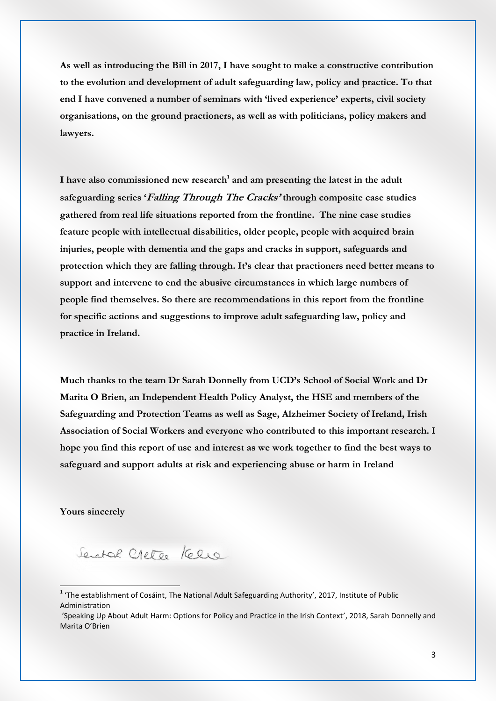**As well as introducing the Bill in 2017, I have sought to make a constructive contribution to the evolution and development of adult safeguarding law, policy and practice. To that end I have convened a number of seminars with 'lived experience' experts, civil society organisations, on the ground practioners, as well as with politicians, policy makers and lawyers.** 

**I have also commissioned new research<sup>1</sup> and am presenting the latest in the adult safeguarding series 'Falling Through The Cracks' through composite case studies gathered from real life situations reported from the frontline. The nine case studies feature people with intellectual disabilities, older people, people with acquired brain injuries, people with dementia and the gaps and cracks in support, safeguards and protection which they are falling through. It's clear that practioners need better means to support and intervene to end the abusive circumstances in which large numbers of people find themselves. So there are recommendations in this report from the frontline for specific actions and suggestions to improve adult safeguarding law, policy and practice in Ireland.** 

**Much thanks to the team Dr Sarah Donnelly from UCD's School of Social Work and Dr Marita O Brien, an Independent Health Policy Analyst, the HSE and members of the Safeguarding and Protection Teams as well as Sage, Alzheimer Society of Ireland, Irish Association of Social Workers and everyone who contributed to this important research. I hope you find this report of use and interest as we work together to find the best ways to safeguard and support adults at risk and experiencing abuse or harm in Ireland**

**Yours sincerely**

 $\overline{a}$ 

Senatal Chete Kelle

 $1$  'The establishment of Cosáint, The National Adult Safeguarding Authority', 2017, Institute of Public Administration

<sup>&#</sup>x27;Speaking Up About Adult Harm: Options for Policy and Practice in the Irish Context', 2018, Sarah Donnelly and Marita O'Brien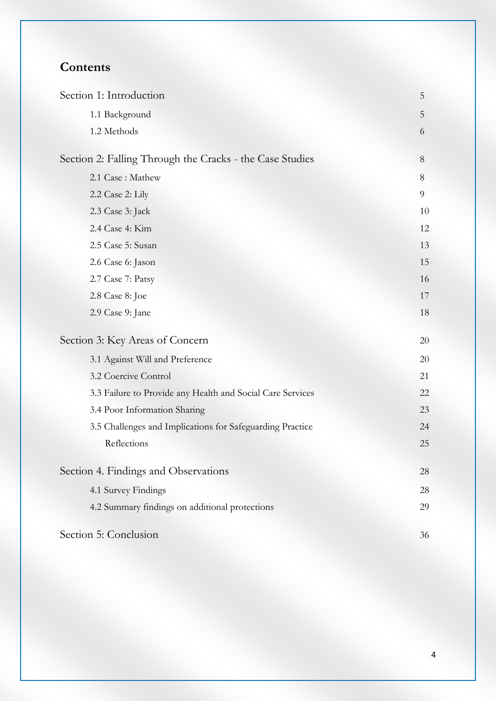# **Contents**

| Section 1: Introduction                                    | 5  |
|------------------------------------------------------------|----|
| 1.1 Background                                             | 5  |
| 1.2 Methods                                                | 6  |
| Section 2: Falling Through the Cracks - the Case Studies   | 8  |
| 2.1 Case: Mathew                                           | 8  |
| 2.2 Case 2: Lily                                           | 9  |
| 2.3 Case 3: Jack                                           | 10 |
| 2.4 Case 4: Kim                                            | 12 |
| 2.5 Case 5: Susan                                          | 13 |
| 2.6 Case 6: Jason                                          | 15 |
| 2.7 Case 7: Patsy                                          | 16 |
| 2.8 Case 8: Joe                                            | 17 |
| 2.9 Case 9: Jane                                           | 18 |
| Section 3: Key Areas of Concern                            | 20 |
| 3.1 Against Will and Preference                            | 20 |
| 3.2 Coercive Control                                       | 21 |
| 3.3 Failure to Provide any Health and Social Care Services | 22 |
| 3.4 Poor Information Sharing                               | 23 |
| 3.5 Challenges and Implications for Safeguarding Practice  | 24 |
| Reflections                                                | 25 |
| Section 4. Findings and Observations                       | 28 |
| 4.1 Survey Findings                                        | 28 |
| 4.2 Summary findings on additional protections             | 29 |
| Section 5: Conclusion                                      | 36 |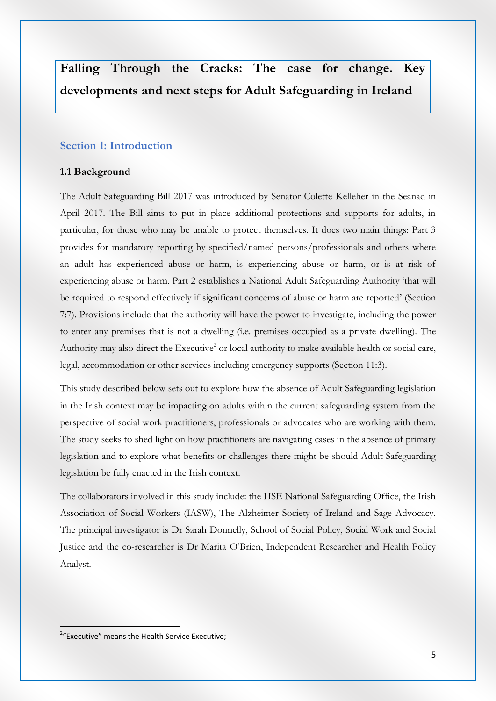**Falling Through the Cracks: The case for change. Key developments and next steps for Adult Safeguarding in Ireland**

#### **Section 1: Introduction**

#### **1.1 Background**

The Adult Safeguarding Bill 2017 was introduced by Senator Colette Kelleher in the Seanad in April 2017. The Bill aims to put in place additional protections and supports for adults, in particular, for those who may be unable to protect themselves. It does two main things: Part 3 provides for mandatory reporting by specified/named persons/professionals and others where an adult has experienced abuse or harm, is experiencing abuse or harm, or is at risk of experiencing abuse or harm. Part 2 establishes a National Adult Safeguarding Authority 'that will be required to respond effectively if significant concerns of abuse or harm are reported' (Section 7:7). Provisions include that the authority will have the power to investigate, including the power to enter any premises that is not a dwelling (i.e. premises occupied as a private dwelling). The Authority may also direct the Executive<sup>2</sup> or local authority to make available health or social care, legal, accommodation or other services including emergency supports (Section 11:3).

This study described below sets out to explore how the absence of Adult Safeguarding legislation in the Irish context may be impacting on adults within the current safeguarding system from the perspective of social work practitioners, professionals or advocates who are working with them. The study seeks to shed light on how practitioners are navigating cases in the absence of primary legislation and to explore what benefits or challenges there might be should Adult Safeguarding legislation be fully enacted in the Irish context.

The collaborators involved in this study include: the HSE National Safeguarding Office, the Irish Association of Social Workers (IASW), The Alzheimer Society of Ireland and Sage Advocacy. The principal investigator is Dr Sarah Donnelly, School of Social Policy, Social Work and Social Justice and the co-researcher is Dr Marita O'Brien, Independent Researcher and Health Policy Analyst.

<u>.</u>

<sup>&</sup>lt;sup>2</sup>"Executive" means the Health Service Executive;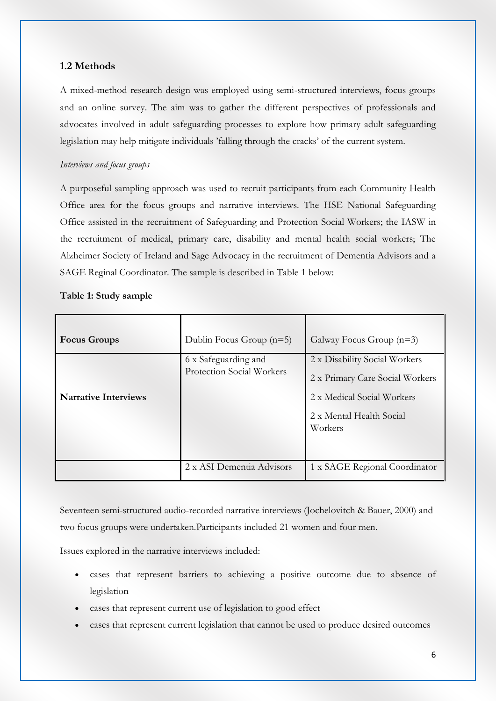#### **1.2 Methods**

A mixed-method research design was employed using semi-structured interviews, focus groups and an online survey. The aim was to gather the different perspectives of professionals and advocates involved in adult safeguarding processes to explore how primary adult safeguarding legislation may help mitigate individuals 'falling through the cracks' of the current system.

#### *Interviews and focus groups*

A purposeful sampling approach was used to recruit participants from each Community Health Office area for the focus groups and narrative interviews. The HSE National Safeguarding Office assisted in the recruitment of Safeguarding and Protection Social Workers; the IASW in the recruitment of medical, primary care, disability and mental health social workers; The Alzheimer Society of Ireland and Sage Advocacy in the recruitment of Dementia Advisors and a SAGE Reginal Coordinator. The sample is described in Table 1 below:

#### **Table 1: Study sample**

| <b>Focus Groups</b>         | Dublin Focus Group $(n=5)$                               | Galway Focus Group $(n=3)$                                                                                                            |
|-----------------------------|----------------------------------------------------------|---------------------------------------------------------------------------------------------------------------------------------------|
| <b>Narrative Interviews</b> | 6 x Safeguarding and<br><b>Protection Social Workers</b> | 2 x Disability Social Workers<br>2 x Primary Care Social Workers<br>2 x Medical Social Workers<br>2 x Mental Health Social<br>Workers |
|                             | 2 x ASI Dementia Advisors                                | 1 x SAGE Regional Coordinator                                                                                                         |

Seventeen semi-structured audio-recorded narrative interviews (Jochelovitch & Bauer, 2000) and two focus groups were undertaken.Participants included 21 women and four men.

Issues explored in the narrative interviews included:

- cases that represent barriers to achieving a positive outcome due to absence of legislation
- cases that represent current use of legislation to good effect
- cases that represent current legislation that cannot be used to produce desired outcomes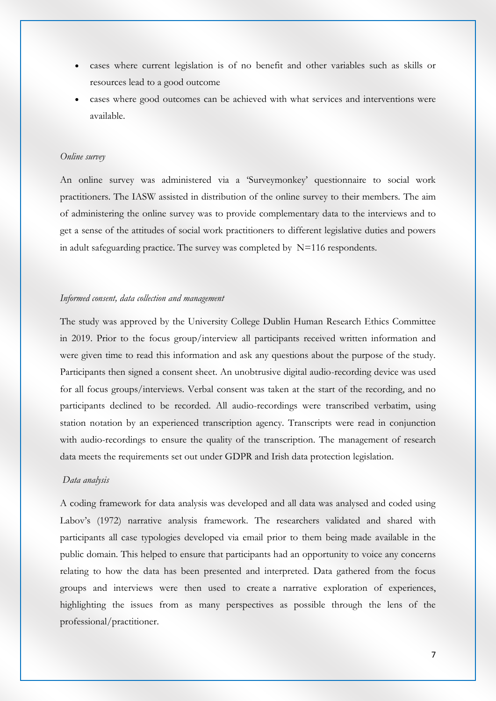- cases where current legislation is of no benefit and other variables such as skills or resources lead to a good outcome
- cases where good outcomes can be achieved with what services and interventions were available.

#### *Online survey*

An online survey was administered via a 'Surveymonkey' questionnaire to social work practitioners. The IASW assisted in distribution of the online survey to their members. The aim of administering the online survey was to provide complementary data to the interviews and to get a sense of the attitudes of social work practitioners to different legislative duties and powers in adult safeguarding practice. The survey was completed by  $N=116$  respondents.

#### *Informed consent, data collection and management*

The study was approved by the University College Dublin Human Research Ethics Committee in 2019. Prior to the focus group/interview all participants received written information and were given time to read this information and ask any questions about the purpose of the study. Participants then signed a consent sheet. An unobtrusive digital audio-recording device was used for all focus groups/interviews. Verbal consent was taken at the start of the recording, and no participants declined to be recorded. All audio-recordings were transcribed verbatim, using station notation by an experienced transcription agency. Transcripts were read in conjunction with audio-recordings to ensure the quality of the transcription. The management of research data meets the requirements set out under GDPR and Irish data protection legislation.

#### *Data analysis*

A coding framework for data analysis was developed and all data was analysed and coded using Labov's (1972) narrative analysis framework. The researchers validated and shared with participants all case typologies developed via email prior to them being made available in the public domain. This helped to ensure that participants had an opportunity to voice any concerns relating to how the data has been presented and interpreted. Data gathered from the focus groups and interviews were then used to create a narrative exploration of experiences, highlighting the issues from as many perspectives as possible through the lens of the professional/practitioner.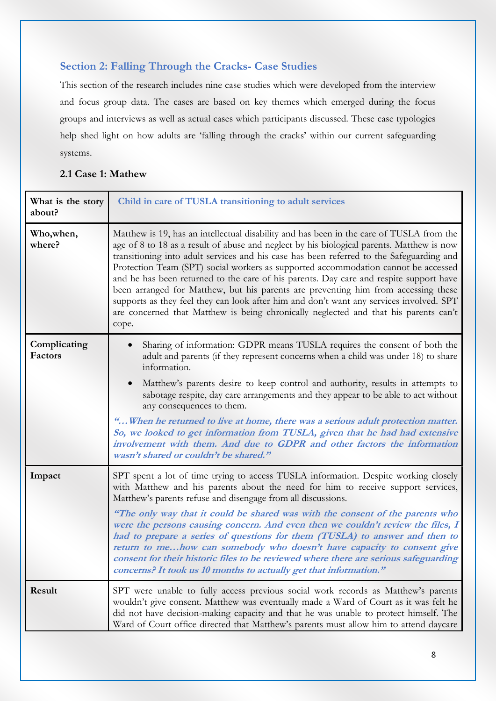### **Section 2: Falling Through the Cracks- Case Studies**

This section of the research includes nine case studies which were developed from the interview and focus group data. The cases are based on key themes which emerged during the focus groups and interviews as well as actual cases which participants discussed. These case typologies help shed light on how adults are 'falling through the cracks' within our current safeguarding systems.

#### **2.1 Case 1: Mathew**

| What is the story<br>about? | Child in care of TUSLA transitioning to adult services                                                                                                                                                                                                                                                                                                                                                                                                                                                                                                                                                                                                                                                                                              |
|-----------------------------|-----------------------------------------------------------------------------------------------------------------------------------------------------------------------------------------------------------------------------------------------------------------------------------------------------------------------------------------------------------------------------------------------------------------------------------------------------------------------------------------------------------------------------------------------------------------------------------------------------------------------------------------------------------------------------------------------------------------------------------------------------|
| Who, when,<br>where?        | Matthew is 19, has an intellectual disability and has been in the care of TUSLA from the<br>age of 8 to 18 as a result of abuse and neglect by his biological parents. Matthew is now<br>transitioning into adult services and his case has been referred to the Safeguarding and<br>Protection Team (SPT) social workers as supported accommodation cannot be accessed<br>and he has been returned to the care of his parents. Day care and respite support have<br>been arranged for Matthew, but his parents are preventing him from accessing these<br>supports as they feel they can look after him and don't want any services involved. SPT<br>are concerned that Matthew is being chronically neglected and that his parents can't<br>cope. |
| Complicating<br>Factors     | Sharing of information: GDPR means TUSLA requires the consent of both the<br>adult and parents (if they represent concerns when a child was under 18) to share<br>information.<br>Matthew's parents desire to keep control and authority, results in attempts to<br>$\bullet$                                                                                                                                                                                                                                                                                                                                                                                                                                                                       |
|                             | sabotage respite, day care arrangements and they appear to be able to act without<br>any consequences to them.                                                                                                                                                                                                                                                                                                                                                                                                                                                                                                                                                                                                                                      |
|                             | " When he returned to live at home, there was a serious adult protection matter.<br>So, we looked to get information from TUSLA, given that he had had extensive<br>involvement with them. And due to GDPR and other factors the information<br>wasn't shared or couldn't be shared."                                                                                                                                                                                                                                                                                                                                                                                                                                                               |
| Impact                      | SPT spent a lot of time trying to access TUSLA information. Despite working closely<br>with Matthew and his parents about the need for him to receive support services,<br>Matthew's parents refuse and disengage from all discussions.                                                                                                                                                                                                                                                                                                                                                                                                                                                                                                             |
|                             | "The only way that it could be shared was with the consent of the parents who<br>were the persons causing concern. And even then we couldn't review the files, I<br>had to prepare a series of questions for them (TUSLA) to answer and then to<br>return to mehow can somebody who doesn't have capacity to consent give<br>consent for their historic files to be reviewed where there are serious safeguarding<br>concerns? It took us 10 months to actually get that information."                                                                                                                                                                                                                                                              |
| Result                      | SPT were unable to fully access previous social work records as Matthew's parents<br>wouldn't give consent. Matthew was eventually made a Ward of Court as it was felt he<br>did not have decision-making capacity and that he was unable to protect himself. The<br>Ward of Court office directed that Matthew's parents must allow him to attend daycare                                                                                                                                                                                                                                                                                                                                                                                          |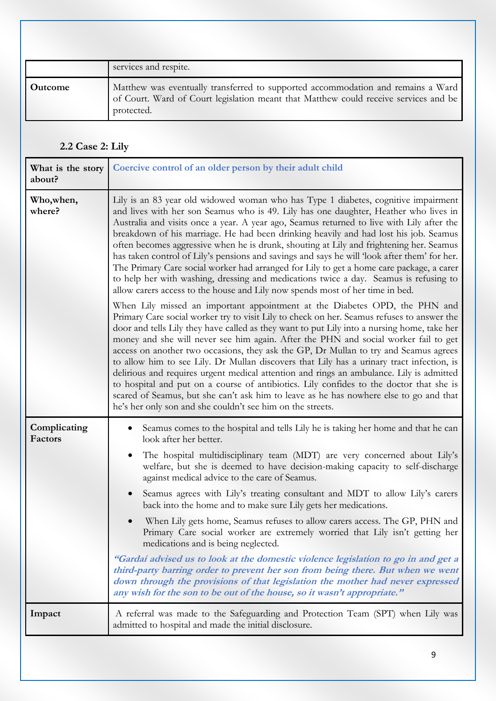|         | services and respite.                                                                                                                                                                  |
|---------|----------------------------------------------------------------------------------------------------------------------------------------------------------------------------------------|
| Outcome | Matthew was eventually transferred to supported accommodation and remains a Ward<br>of Court. Ward of Court legislation meant that Matthew could receive services and be<br>protected. |

# **2.2 Case 2: Lily**

| What is the story<br>about? | Coercive control of an older person by their adult child                                                                                                                                                                                                                                                                                                                                                                                                                                                                                                                                                                                                                                                                                                                                                                                                                                                                                                                                                                                                                                                                                                                                                                                                                                                                                                                                                                                                                                                                                                                                                                                                                                                                               |
|-----------------------------|----------------------------------------------------------------------------------------------------------------------------------------------------------------------------------------------------------------------------------------------------------------------------------------------------------------------------------------------------------------------------------------------------------------------------------------------------------------------------------------------------------------------------------------------------------------------------------------------------------------------------------------------------------------------------------------------------------------------------------------------------------------------------------------------------------------------------------------------------------------------------------------------------------------------------------------------------------------------------------------------------------------------------------------------------------------------------------------------------------------------------------------------------------------------------------------------------------------------------------------------------------------------------------------------------------------------------------------------------------------------------------------------------------------------------------------------------------------------------------------------------------------------------------------------------------------------------------------------------------------------------------------------------------------------------------------------------------------------------------------|
| Who, when,<br>where?        | Lily is an 83 year old widowed woman who has Type 1 diabetes, cognitive impairment<br>and lives with her son Seamus who is 49. Lily has one daughter, Heather who lives in<br>Australia and visits once a year. A year ago, Seamus returned to live with Lily after the<br>breakdown of his marriage. He had been drinking heavily and had lost his job. Seamus<br>often becomes aggressive when he is drunk, shouting at Lily and frightening her. Seamus<br>has taken control of Lily's pensions and savings and says he will 'look after them' for her.<br>The Primary Care social worker had arranged for Lily to get a home care package, a carer<br>to help her with washing, dressing and medications twice a day. Seamus is refusing to<br>allow carers access to the house and Lily now spends most of her time in bed.<br>When Lily missed an important appointment at the Diabetes OPD, the PHN and<br>Primary Care social worker try to visit Lily to check on her. Seamus refuses to answer the<br>door and tells Lily they have called as they want to put Lily into a nursing home, take her<br>money and she will never see him again. After the PHN and social worker fail to get<br>access on another two occasions, they ask the GP, Dr Mullan to try and Seamus agrees<br>to allow him to see Lily. Dr Mullan discovers that Lily has a urinary tract infection, is<br>delirious and requires urgent medical attention and rings an ambulance. Lily is admitted<br>to hospital and put on a course of antibiotics. Lily confides to the doctor that she is<br>scared of Seamus, but she can't ask him to leave as he has nowhere else to go and that<br>he's her only son and she couldn't see him on the streets. |
| Complicating<br>Factors     | Seamus comes to the hospital and tells Lily he is taking her home and that he can<br>look after her better.<br>The hospital multidisciplinary team (MDT) are very concerned about Lily's<br>welfare, but she is deemed to have decision-making capacity to self-discharge<br>against medical advice to the care of Seamus.<br>Seamus agrees with Lily's treating consultant and MDT to allow Lily's carers<br>back into the home and to make sure Lily gets her medications.<br>When Lily gets home, Seamus refuses to allow carers access. The GP, PHN and<br>Primary Care social worker are extremely worried that Lily isn't getting her<br>medications and is being neglected.<br>"Gardaí advised us to look at the domestic violence legislation to go in and get a<br>third-party barring order to prevent her son from being there. But when we went<br>down through the provisions of that legislation the mother had never expressed<br>any wish for the son to be out of the house, so it wasn't appropriate."                                                                                                                                                                                                                                                                                                                                                                                                                                                                                                                                                                                                                                                                                                               |
| Impact                      | A referral was made to the Safeguarding and Protection Team (SPT) when Lily was<br>admitted to hospital and made the initial disclosure.                                                                                                                                                                                                                                                                                                                                                                                                                                                                                                                                                                                                                                                                                                                                                                                                                                                                                                                                                                                                                                                                                                                                                                                                                                                                                                                                                                                                                                                                                                                                                                                               |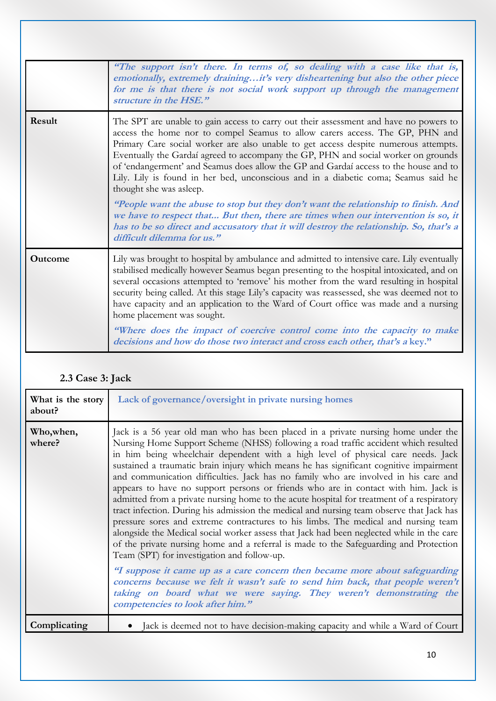|         | "The support isn't there. In terms of, so dealing with a case like that is,<br>emotionally, extremely drainingit's very disheartening but also the other piece<br>for me is that there is not social work support up through the management<br>structure in the HSE."                                                                                                                                                                                                                                                                                                                                                                                                                                                                                                                                                                                          |
|---------|----------------------------------------------------------------------------------------------------------------------------------------------------------------------------------------------------------------------------------------------------------------------------------------------------------------------------------------------------------------------------------------------------------------------------------------------------------------------------------------------------------------------------------------------------------------------------------------------------------------------------------------------------------------------------------------------------------------------------------------------------------------------------------------------------------------------------------------------------------------|
| Result  | The SPT are unable to gain access to carry out their assessment and have no powers to<br>access the home nor to compel Seamus to allow carers access. The GP, PHN and<br>Primary Care social worker are also unable to get access despite numerous attempts.<br>Eventually the Gardaí agreed to accompany the GP, PHN and social worker on grounds<br>of 'endangerment' and Seamus does allow the GP and Gardaí access to the house and to<br>Lily. Lily is found in her bed, unconscious and in a diabetic coma; Seamus said he<br>thought she was asleep.<br>"People want the abuse to stop but they don't want the relationship to finish. And<br>we have to respect that But then, there are times when our intervention is so, it<br>has to be so direct and accusatory that it will destroy the relationship. So, that's a<br>difficult dilemma for us." |
| Outcome | Lily was brought to hospital by ambulance and admitted to intensive care. Lily eventually<br>stabilised medically however Seamus began presenting to the hospital intoxicated, and on<br>several occasions attempted to 'remove' his mother from the ward resulting in hospital<br>security being called. At this stage Lily's capacity was reassessed, she was deemed not to<br>have capacity and an application to the Ward of Court office was made and a nursing<br>home placement was sought.<br>"Where does the impact of coercive control come into the capacity to make<br>decisions and how do those two interact and cross each other, that's a key."                                                                                                                                                                                                |

# **2.3 Case 3: Jack**

| What is the story<br>about? | Lack of governance/oversight in private nursing homes                                                                                                                                                                                                                                                                                                                                                                                                                                                                                                                                                                                                                                                                                                                                                                                                                                                                                                                                                                                                                                                                                                                                                                                                                                                                              |
|-----------------------------|------------------------------------------------------------------------------------------------------------------------------------------------------------------------------------------------------------------------------------------------------------------------------------------------------------------------------------------------------------------------------------------------------------------------------------------------------------------------------------------------------------------------------------------------------------------------------------------------------------------------------------------------------------------------------------------------------------------------------------------------------------------------------------------------------------------------------------------------------------------------------------------------------------------------------------------------------------------------------------------------------------------------------------------------------------------------------------------------------------------------------------------------------------------------------------------------------------------------------------------------------------------------------------------------------------------------------------|
| Who, when,<br>where?        | Jack is a 56 year old man who has been placed in a private nursing home under the<br>Nursing Home Support Scheme (NHSS) following a road traffic accident which resulted<br>in him being wheelchair dependent with a high level of physical care needs. Jack<br>sustained a traumatic brain injury which means he has significant cognitive impairment<br>and communication difficulties. Jack has no family who are involved in his care and<br>appears to have no support persons or friends who are in contact with him. Jack is<br>admitted from a private nursing home to the acute hospital for treatment of a respiratory<br>tract infection. During his admission the medical and nursing team observe that Jack has<br>pressure sores and extreme contractures to his limbs. The medical and nursing team<br>alongside the Medical social worker assess that Jack had been neglected while in the care<br>of the private nursing home and a referral is made to the Safeguarding and Protection<br>Team (SPT) for investigation and follow-up.<br>"I suppose it came up as a care concern then became more about safeguarding<br>concerns because we felt it wasn't safe to send him back, that people weren't<br>taking on board what we were saying. They weren't demonstrating the<br>competencies to look after him." |
| Complicating                | Jack is deemed not to have decision-making capacity and while a Ward of Court                                                                                                                                                                                                                                                                                                                                                                                                                                                                                                                                                                                                                                                                                                                                                                                                                                                                                                                                                                                                                                                                                                                                                                                                                                                      |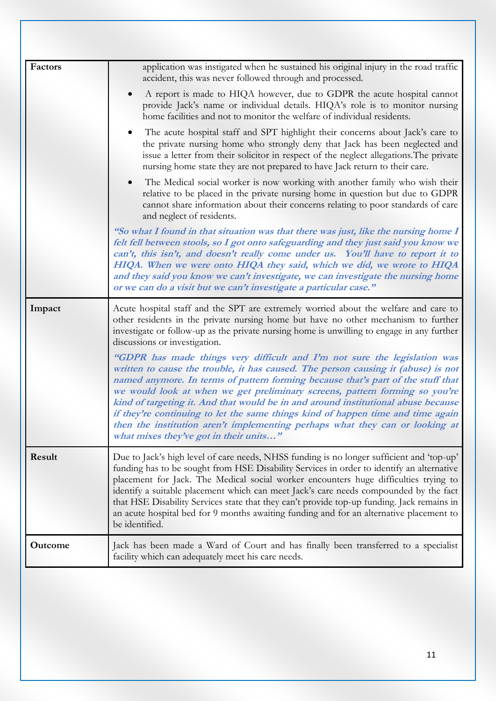| Factors | application was instigated when he sustained his original injury in the road traffic<br>accident, this was never followed through and processed.                                                                                                                                                                                                                                                                                                                                                                                                                                                                                    |
|---------|-------------------------------------------------------------------------------------------------------------------------------------------------------------------------------------------------------------------------------------------------------------------------------------------------------------------------------------------------------------------------------------------------------------------------------------------------------------------------------------------------------------------------------------------------------------------------------------------------------------------------------------|
|         | A report is made to HIQA however, due to GDPR the acute hospital cannot<br>provide Jack's name or individual details. HIQA's role is to monitor nursing<br>home facilities and not to monitor the welfare of individual residents.                                                                                                                                                                                                                                                                                                                                                                                                  |
|         | The acute hospital staff and SPT highlight their concerns about Jack's care to<br>٠<br>the private nursing home who strongly deny that Jack has been neglected and<br>issue a letter from their solicitor in respect of the neglect allegations. The private<br>nursing home state they are not prepared to have Jack return to their care.                                                                                                                                                                                                                                                                                         |
|         | The Medical social worker is now working with another family who wish their<br>$\bullet$<br>relative to be placed in the private nursing home in question but due to GDPR<br>cannot share information about their concerns relating to poor standards of care<br>and neglect of residents.                                                                                                                                                                                                                                                                                                                                          |
|         | "So what I found in that situation was that there was just, like the nursing home I<br>felt fell between stools, so I got onto safeguarding and they just said you know we<br>can't, this isn't, and doesn't really come under us. You'll have to report it to<br>HIQA. When we were onto HIQA they said, which we did, we wrote to HIQA<br>and they said you know we can't investigate, we can investigate the nursing home<br>or we can do a visit but we can't investigate a particular case."                                                                                                                                   |
| Impact  | Acute hospital staff and the SPT are extremely worried about the welfare and care to<br>other residents in the private nursing home but have no other mechanism to further<br>investigate or follow-up as the private nursing home is unwilling to engage in any further<br>discussions or investigation.                                                                                                                                                                                                                                                                                                                           |
|         | "GDPR has made things very difficult and I'm not sure the legislation was<br>written to cause the trouble, it has caused. The person causing it (abuse) is not<br>named anymore. In terms of pattern forming because that's part of the stuff that<br>we would look at when we get preliminary screens, pattern forming so you're<br>kind of targeting it. And that would be in and around institutional abuse because<br>if they're continuing to let the same things kind of happen time and time again<br>then the institution aren't implementing perhaps what they can or looking at<br>what mixes they've got in their units" |
| Result  | Due to Jack's high level of care needs, NHSS funding is no longer sufficient and 'top-up'<br>funding has to be sought from HSE Disability Services in order to identify an alternative<br>placement for Jack. The Medical social worker encounters huge difficulties trying to<br>identify a suitable placement which can meet Jack's care needs compounded by the fact<br>that HSE Disability Services state that they can't provide top-up funding. Jack remains in<br>an acute hospital bed for 9 months awaiting funding and for an alternative placement to<br>be identified.                                                  |
| Outcome | Jack has been made a Ward of Court and has finally been transferred to a specialist<br>facility which can adequately meet his care needs.                                                                                                                                                                                                                                                                                                                                                                                                                                                                                           |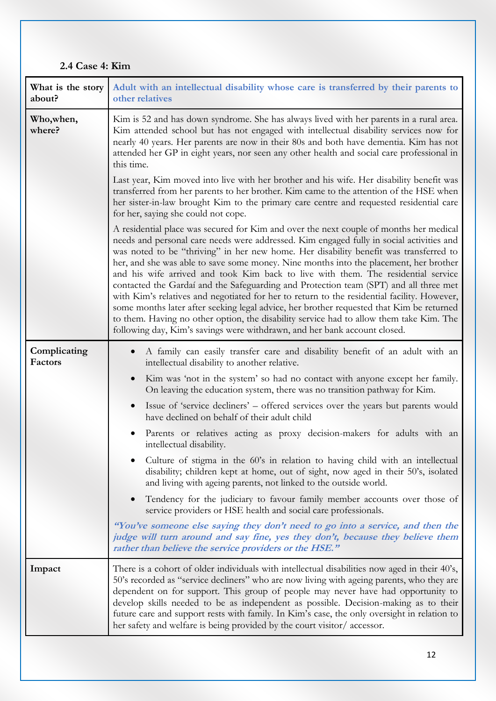## **2.4 Case 4: Kim**

| What is the story<br>about?    | Adult with an intellectual disability whose care is transferred by their parents to<br>other relatives                                                                                                                                                                                                                                                                                                                                                                                                                                                                                                                                                                                                                                                                                                                                                                                                                |
|--------------------------------|-----------------------------------------------------------------------------------------------------------------------------------------------------------------------------------------------------------------------------------------------------------------------------------------------------------------------------------------------------------------------------------------------------------------------------------------------------------------------------------------------------------------------------------------------------------------------------------------------------------------------------------------------------------------------------------------------------------------------------------------------------------------------------------------------------------------------------------------------------------------------------------------------------------------------|
| Who,when,<br>where?            | Kim is 52 and has down syndrome. She has always lived with her parents in a rural area.<br>Kim attended school but has not engaged with intellectual disability services now for<br>nearly 40 years. Her parents are now in their 80s and both have dementia. Kim has not<br>attended her GP in eight years, nor seen any other health and social care professional in<br>this time.                                                                                                                                                                                                                                                                                                                                                                                                                                                                                                                                  |
|                                | Last year, Kim moved into live with her brother and his wife. Her disability benefit was<br>transferred from her parents to her brother. Kim came to the attention of the HSE when<br>her sister-in-law brought Kim to the primary care centre and requested residential care<br>for her, saying she could not cope.                                                                                                                                                                                                                                                                                                                                                                                                                                                                                                                                                                                                  |
|                                | A residential place was secured for Kim and over the next couple of months her medical<br>needs and personal care needs were addressed. Kim engaged fully in social activities and<br>was noted to be "thriving" in her new home. Her disability benefit was transferred to<br>her, and she was able to save some money. Nine months into the placement, her brother<br>and his wife arrived and took Kim back to live with them. The residential service<br>contacted the Gardaí and the Safeguarding and Protection team (SPT) and all three met<br>with Kim's relatives and negotiated for her to return to the residential facility. However,<br>some months later after seeking legal advice, her brother requested that Kim be returned<br>to them. Having no other option, the disability service had to allow them take Kim. The<br>following day, Kim's savings were withdrawn, and her bank account closed. |
| Complicating<br><b>Factors</b> | A family can easily transfer care and disability benefit of an adult with an<br>intellectual disability to another relative.                                                                                                                                                                                                                                                                                                                                                                                                                                                                                                                                                                                                                                                                                                                                                                                          |
|                                | Kim was 'not in the system' so had no contact with anyone except her family.<br>$\bullet$<br>On leaving the education system, there was no transition pathway for Kim.                                                                                                                                                                                                                                                                                                                                                                                                                                                                                                                                                                                                                                                                                                                                                |
|                                | Issue of 'service decliners' – offered services over the years but parents would<br>$\bullet$<br>have declined on behalf of their adult child                                                                                                                                                                                                                                                                                                                                                                                                                                                                                                                                                                                                                                                                                                                                                                         |
|                                | Parents or relatives acting as proxy decision-makers for adults with an<br>intellectual disability.                                                                                                                                                                                                                                                                                                                                                                                                                                                                                                                                                                                                                                                                                                                                                                                                                   |
|                                | Culture of stigma in the 60's in relation to having child with an intellectual<br>disability; children kept at home, out of sight, now aged in their 50's, isolated<br>and living with ageing parents, not linked to the outside world.                                                                                                                                                                                                                                                                                                                                                                                                                                                                                                                                                                                                                                                                               |
|                                | Tendency for the judiciary to favour family member accounts over those of<br>$\bullet$<br>service providers or HSE health and social care professionals.                                                                                                                                                                                                                                                                                                                                                                                                                                                                                                                                                                                                                                                                                                                                                              |
|                                | "You've someone else saying they don't need to go into a service, and then the<br>judge will turn around and say fine, yes they don't, because they believe them<br>rather than believe the service providers or the HSE."                                                                                                                                                                                                                                                                                                                                                                                                                                                                                                                                                                                                                                                                                            |
| Impact                         | There is a cohort of older individuals with intellectual disabilities now aged in their 40's,<br>50's recorded as "service decliners" who are now living with ageing parents, who they are<br>dependent on for support. This group of people may never have had opportunity to<br>develop skills needed to be as independent as possible. Decision-making as to their<br>future care and support rests with family. In Kim's case, the only oversight in relation to<br>her safety and welfare is being provided by the court visitor/accessor.                                                                                                                                                                                                                                                                                                                                                                       |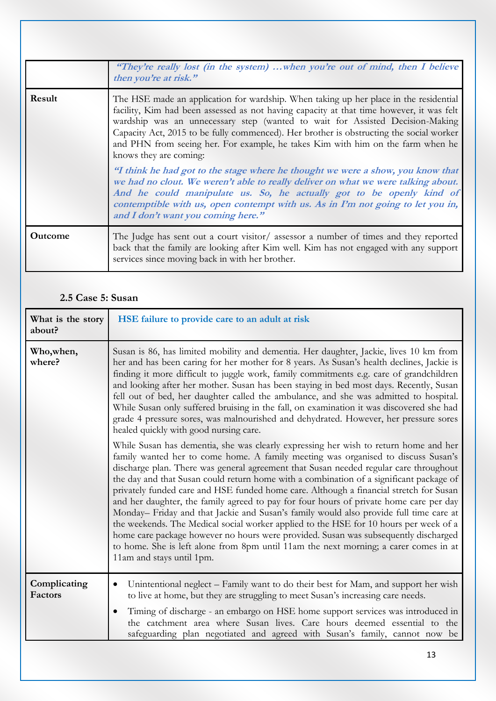|                | "They're really lost (in the system) when you're out of mind, then I believe<br>then you're at risk."                                                                                                                                                                                                                                                                                                                                                                      |
|----------------|----------------------------------------------------------------------------------------------------------------------------------------------------------------------------------------------------------------------------------------------------------------------------------------------------------------------------------------------------------------------------------------------------------------------------------------------------------------------------|
| Result         | The HSE made an application for wardship. When taking up her place in the residential<br>facility, Kim had been assessed as not having capacity at that time however, it was felt<br>wardship was an unnecessary step (wanted to wait for Assisted Decision-Making<br>Capacity Act, 2015 to be fully commenced). Her brother is obstructing the social worker<br>and PHN from seeing her. For example, he takes Kim with him on the farm when he<br>knows they are coming: |
|                | "I think he had got to the stage where he thought we were a show, you know that<br>we had no clout. We weren't able to really deliver on what we were talking about.<br>And he could manipulate us. So, he actually got to be openly kind of<br>contemptible with us, open contempt with us. As in I'm not going to let you in,<br>and I don't want you coming here."                                                                                                      |
| <b>Outcome</b> | The Judge has sent out a court visitor/ assessor a number of times and they reported<br>back that the family are looking after Kim well. Kim has not engaged with any support<br>services since moving back in with her brother.                                                                                                                                                                                                                                           |

### **2.5 Case 5: Susan**

| What is the story<br>about? | HSE failure to provide care to an adult at risk                                                                                                                                                                                                                                                                                                                                                                                                                                                                                                                                                                                                                                                                                                                                                                                                                                                                                                  |
|-----------------------------|--------------------------------------------------------------------------------------------------------------------------------------------------------------------------------------------------------------------------------------------------------------------------------------------------------------------------------------------------------------------------------------------------------------------------------------------------------------------------------------------------------------------------------------------------------------------------------------------------------------------------------------------------------------------------------------------------------------------------------------------------------------------------------------------------------------------------------------------------------------------------------------------------------------------------------------------------|
| Who,when,<br>where?         | Susan is 86, has limited mobility and dementia. Her daughter, Jackie, lives 10 km from<br>her and has been caring for her mother for 8 years. As Susan's health declines, Jackie is<br>finding it more difficult to juggle work, family commitments e.g. care of grandchildren<br>and looking after her mother. Susan has been staying in bed most days. Recently, Susan<br>fell out of bed, her daughter called the ambulance, and she was admitted to hospital.<br>While Susan only suffered bruising in the fall, on examination it was discovered she had<br>grade 4 pressure sores, was malnourished and dehydrated. However, her pressure sores<br>healed quickly with good nursing care.                                                                                                                                                                                                                                                  |
|                             | While Susan has dementia, she was clearly expressing her wish to return home and her<br>family wanted her to come home. A family meeting was organised to discuss Susan's<br>discharge plan. There was general agreement that Susan needed regular care throughout<br>the day and that Susan could return home with a combination of a significant package of<br>privately funded care and HSE funded home care. Although a financial stretch for Susan<br>and her daughter, the family agreed to pay for four hours of private home care per day<br>Monday- Friday and that Jackie and Susan's family would also provide full time care at<br>the weekends. The Medical social worker applied to the HSE for 10 hours per week of a<br>home care package however no hours were provided. Susan was subsequently discharged<br>to home. She is left alone from 8pm until 11am the next morning; a carer comes in at<br>11am and stays until 1pm. |
| Complicating<br>Factors     | Unintentional neglect - Family want to do their best for Mam, and support her wish<br>٠<br>to live at home, but they are struggling to meet Susan's increasing care needs.<br>Timing of discharge - an embargo on HSE home support services was introduced in<br>$\bullet$<br>the catchment area where Susan lives. Care hours deemed essential to the                                                                                                                                                                                                                                                                                                                                                                                                                                                                                                                                                                                           |
|                             | safeguarding plan negotiated and agreed with Susan's family, cannot now be                                                                                                                                                                                                                                                                                                                                                                                                                                                                                                                                                                                                                                                                                                                                                                                                                                                                       |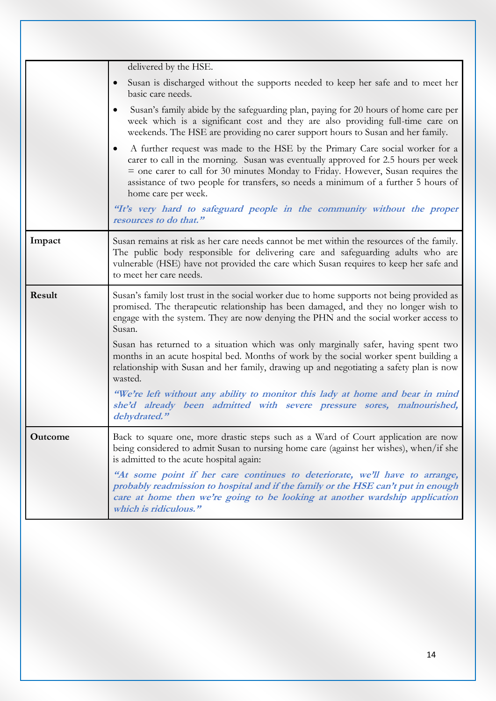|                | delivered by the HSE.                                                                                                                                                                                                                                                                                                                                                             |
|----------------|-----------------------------------------------------------------------------------------------------------------------------------------------------------------------------------------------------------------------------------------------------------------------------------------------------------------------------------------------------------------------------------|
|                | Susan is discharged without the supports needed to keep her safe and to meet her<br>$\bullet$<br>basic care needs.                                                                                                                                                                                                                                                                |
|                | Susan's family abide by the safeguarding plan, paying for 20 hours of home care per<br>٠<br>week which is a significant cost and they are also providing full-time care on<br>weekends. The HSE are providing no carer support hours to Susan and her family.                                                                                                                     |
|                | A further request was made to the HSE by the Primary Care social worker for a<br>$\bullet$<br>carer to call in the morning. Susan was eventually approved for 2.5 hours per week<br>= one carer to call for 30 minutes Monday to Friday. However, Susan requires the<br>assistance of two people for transfers, so needs a minimum of a further 5 hours of<br>home care per week. |
|                | "It's very hard to safeguard people in the community without the proper<br>resources to do that."                                                                                                                                                                                                                                                                                 |
| Impact         | Susan remains at risk as her care needs cannot be met within the resources of the family.<br>The public body responsible for delivering care and safeguarding adults who are<br>vulnerable (HSE) have not provided the care which Susan requires to keep her safe and<br>to meet her care needs.                                                                                  |
| Result         | Susan's family lost trust in the social worker due to home supports not being provided as<br>promised. The therapeutic relationship has been damaged, and they no longer wish to<br>engage with the system. They are now denying the PHN and the social worker access to<br>Susan.                                                                                                |
|                | Susan has returned to a situation which was only marginally safer, having spent two<br>months in an acute hospital bed. Months of work by the social worker spent building a<br>relationship with Susan and her family, drawing up and negotiating a safety plan is now<br>wasted.                                                                                                |
|                | "We're left without any ability to monitor this lady at home and bear in mind<br>she'd already been admitted with severe pressure sores, malnourished,<br>dehydrated."                                                                                                                                                                                                            |
| <b>Outcome</b> | Back to square one, more drastic steps such as a Ward of Court application are now<br>being considered to admit Susan to nursing home care (against her wishes), when/if she<br>is admitted to the acute hospital again:                                                                                                                                                          |
|                | "At some point if her care continues to deteriorate, we'll have to arrange,<br>probably readmission to hospital and if the family or the HSE can't put in enough<br>care at home then we're going to be looking at another wardship application<br>which is ridiculous."                                                                                                          |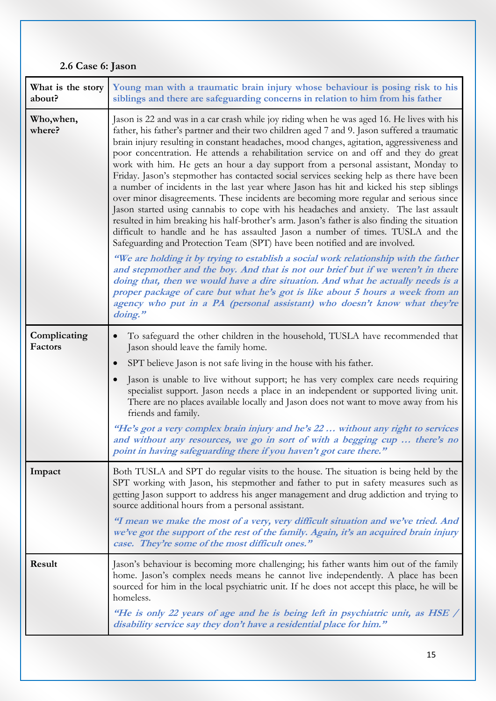# **2.6 Case 6: Jason**

| What is the story<br>about? | Young man with a traumatic brain injury whose behaviour is posing risk to his<br>siblings and there are safeguarding concerns in relation to him from his father                                                                                                                                                                                                                                                                                                                                                                                                                                                                                                                                                                                                                                                                                                                                                                                                                                                                                                                                                 |
|-----------------------------|------------------------------------------------------------------------------------------------------------------------------------------------------------------------------------------------------------------------------------------------------------------------------------------------------------------------------------------------------------------------------------------------------------------------------------------------------------------------------------------------------------------------------------------------------------------------------------------------------------------------------------------------------------------------------------------------------------------------------------------------------------------------------------------------------------------------------------------------------------------------------------------------------------------------------------------------------------------------------------------------------------------------------------------------------------------------------------------------------------------|
| Who, when,<br>where?        | Jason is 22 and was in a car crash while joy riding when he was aged 16. He lives with his<br>father, his father's partner and their two children aged 7 and 9. Jason suffered a traumatic<br>brain injury resulting in constant headaches, mood changes, agitation, aggressiveness and<br>poor concentration. He attends a rehabilitation service on and off and they do great<br>work with him. He gets an hour a day support from a personal assistant, Monday to<br>Friday. Jason's stepmother has contacted social services seeking help as there have been<br>a number of incidents in the last year where Jason has hit and kicked his step siblings<br>over minor disagreements. These incidents are becoming more regular and serious since<br>Jason started using cannabis to cope with his headaches and anxiety. The last assault<br>resulted in him breaking his half-brother's arm. Jason's father is also finding the situation<br>difficult to handle and he has assaulted Jason a number of times. TUSLA and the<br>Safeguarding and Protection Team (SPT) have been notified and are involved. |
|                             | "We are holding it by trying to establish a social work relationship with the father<br>and stepmother and the boy. And that is not our brief but if we weren't in there<br>doing that, then we would have a dire situation. And what he actually needs is a<br>proper package of care but what he's got is like about 5 hours a week from an<br>agency who put in a PA (personal assistant) who doesn't know what they're<br>doing."                                                                                                                                                                                                                                                                                                                                                                                                                                                                                                                                                                                                                                                                            |
| Complicating<br>Factors     | To safeguard the other children in the household, TUSLA have recommended that<br>$\bullet$<br>Jason should leave the family home.                                                                                                                                                                                                                                                                                                                                                                                                                                                                                                                                                                                                                                                                                                                                                                                                                                                                                                                                                                                |
|                             | SPT believe Jason is not safe living in the house with his father.<br>$\bullet$                                                                                                                                                                                                                                                                                                                                                                                                                                                                                                                                                                                                                                                                                                                                                                                                                                                                                                                                                                                                                                  |
|                             | Jason is unable to live without support; he has very complex care needs requiring<br>specialist support. Jason needs a place in an independent or supported living unit.<br>There are no places available locally and Jason does not want to move away from his<br>friends and family.<br>"He's got a very complex brain injury and he's 22  without any right to services                                                                                                                                                                                                                                                                                                                                                                                                                                                                                                                                                                                                                                                                                                                                       |
|                             | and without any resources, we go in sort of with a begging cup  there's no<br>point in having safeguarding there if you haven't got care there."                                                                                                                                                                                                                                                                                                                                                                                                                                                                                                                                                                                                                                                                                                                                                                                                                                                                                                                                                                 |
| Impact                      | Both TUSLA and SPT do regular visits to the house. The situation is being held by the<br>SPT working with Jason, his stepmother and father to put in safety measures such as<br>getting Jason support to address his anger management and drug addiction and trying to<br>source additional hours from a personal assistant.                                                                                                                                                                                                                                                                                                                                                                                                                                                                                                                                                                                                                                                                                                                                                                                     |
|                             | "I mean we make the most of a very, very difficult situation and we've tried. And<br>we've got the support of the rest of the family. Again, it's an acquired brain injury<br>case. They're some of the most difficult ones."                                                                                                                                                                                                                                                                                                                                                                                                                                                                                                                                                                                                                                                                                                                                                                                                                                                                                    |
| Result                      | Jason's behaviour is becoming more challenging; his father wants him out of the family<br>home. Jason's complex needs means he cannot live independently. A place has been<br>sourced for him in the local psychiatric unit. If he does not accept this place, he will be<br>homeless.                                                                                                                                                                                                                                                                                                                                                                                                                                                                                                                                                                                                                                                                                                                                                                                                                           |
|                             | "He is only 22 years of age and he is being left in psychiatric unit, as HSE /<br>disability service say they don't have a residential place for him."                                                                                                                                                                                                                                                                                                                                                                                                                                                                                                                                                                                                                                                                                                                                                                                                                                                                                                                                                           |
|                             |                                                                                                                                                                                                                                                                                                                                                                                                                                                                                                                                                                                                                                                                                                                                                                                                                                                                                                                                                                                                                                                                                                                  |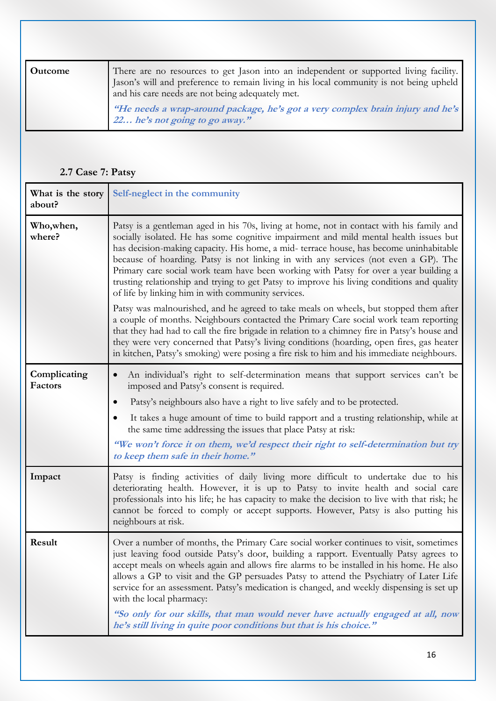| Outcome | There are no resources to get Jason into an independent or supported living facility.<br>Jason's will and preference to remain living in his local community is not being upheld<br>and his care needs are not being adequately met. |
|---------|--------------------------------------------------------------------------------------------------------------------------------------------------------------------------------------------------------------------------------------|
|         | "He needs a wrap-around package, he's got a very complex brain injury and he's<br>22 he's not going to go away."                                                                                                                     |

## **2.7 Case 7: Patsy**

| What is the story<br>about? | Self-neglect in the community                                                                                                                                                                                                                                                                                                                                                                                                                                                                                                                                                                                                                                                                                                                                                                                                                                                                                                                                                                                                                                                              |
|-----------------------------|--------------------------------------------------------------------------------------------------------------------------------------------------------------------------------------------------------------------------------------------------------------------------------------------------------------------------------------------------------------------------------------------------------------------------------------------------------------------------------------------------------------------------------------------------------------------------------------------------------------------------------------------------------------------------------------------------------------------------------------------------------------------------------------------------------------------------------------------------------------------------------------------------------------------------------------------------------------------------------------------------------------------------------------------------------------------------------------------|
| Who, when,<br>where?        | Patsy is a gentleman aged in his 70s, living at home, not in contact with his family and<br>socially isolated. He has some cognitive impairment and mild mental health issues but<br>has decision-making capacity. His home, a mid-terrace house, has become uninhabitable<br>because of hoarding. Patsy is not linking in with any services (not even a GP). The<br>Primary care social work team have been working with Patsy for over a year building a<br>trusting relationship and trying to get Patsy to improve his living conditions and quality<br>of life by linking him in with community services.<br>Patsy was malnourished, and he agreed to take meals on wheels, but stopped them after<br>a couple of months. Neighbours contacted the Primary Care social work team reporting<br>that they had had to call the fire brigade in relation to a chimney fire in Patsy's house and<br>they were very concerned that Patsy's living conditions (hoarding, open fires, gas heater<br>in kitchen, Patsy's smoking) were posing a fire risk to him and his immediate neighbours. |
| Complicating<br>Factors     | An individual's right to self-determination means that support services can't be<br>$\bullet$<br>imposed and Patsy's consent is required.<br>Patsy's neighbours also have a right to live safely and to be protected.<br>$\bullet$<br>It takes a huge amount of time to build rapport and a trusting relationship, while at<br>the same time addressing the issues that place Patsy at risk:<br>"We won't force it on them, we'd respect their right to self-determination but try<br>to keep them safe in their home."                                                                                                                                                                                                                                                                                                                                                                                                                                                                                                                                                                    |
| Impact                      | Patsy is finding activities of daily living more difficult to undertake due to his<br>deteriorating health. However, it is up to Patsy to invite health and social care<br>professionals into his life; he has capacity to make the decision to live with that risk; he<br>cannot be forced to comply or accept supports. However, Patsy is also putting his<br>neighbours at risk.                                                                                                                                                                                                                                                                                                                                                                                                                                                                                                                                                                                                                                                                                                        |
| Result                      | Over a number of months, the Primary Care social worker continues to visit, sometimes<br>just leaving food outside Patsy's door, building a rapport. Eventually Patsy agrees to<br>accept meals on wheels again and allows fire alarms to be installed in his home. He also<br>allows a GP to visit and the GP persuades Patsy to attend the Psychiatry of Later Life<br>service for an assessment. Patsy's medication is changed, and weekly dispensing is set up<br>with the local pharmacy:<br>"So only for our skills, that man would never have actually engaged at all, now<br>he's still living in quite poor conditions but that is his choice."                                                                                                                                                                                                                                                                                                                                                                                                                                   |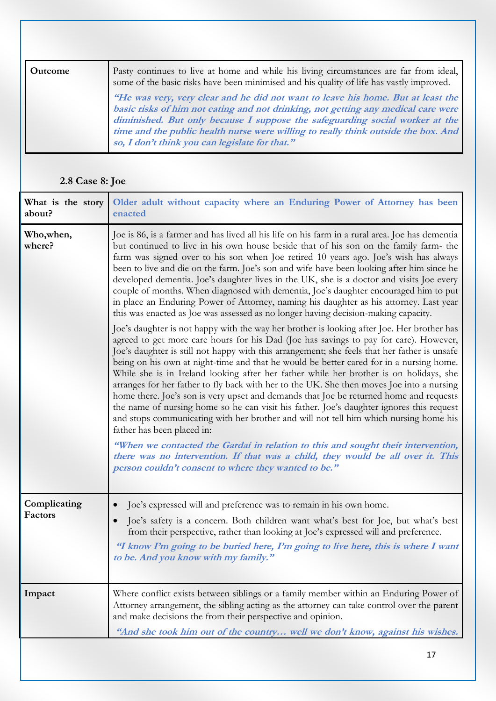| <b>Outcome</b> | Pasty continues to live at home and while his living circumstances are far from ideal,<br>some of the basic risks have been minimised and his quality of life has vastly improved.                                                                                                                                                                                                            |
|----------------|-----------------------------------------------------------------------------------------------------------------------------------------------------------------------------------------------------------------------------------------------------------------------------------------------------------------------------------------------------------------------------------------------|
|                | "He was very, very clear and he did not want to leave his home. But at least the<br>basic risks of him not eating and not drinking, not getting any medical care were<br>diminished. But only because I suppose the safeguarding social worker at the<br>time and the public health nurse were willing to really think outside the box. And<br>so, I don't think you can legislate for that." |

# **2.8 Case 8: Joe**

| What is the story<br>about? | Older adult without capacity where an Enduring Power of Attorney has been<br>enacted                                                                                                                                                                                                                                                                                                                                                                                                                                                                                                                                                                                                                                                                                                                                                                                                                                                                                                                                                                                                                                                                                                                                                                                                                                                                                                                                                                                                                                                                                                                                                                                                                                                                                                                                                                                   |
|-----------------------------|------------------------------------------------------------------------------------------------------------------------------------------------------------------------------------------------------------------------------------------------------------------------------------------------------------------------------------------------------------------------------------------------------------------------------------------------------------------------------------------------------------------------------------------------------------------------------------------------------------------------------------------------------------------------------------------------------------------------------------------------------------------------------------------------------------------------------------------------------------------------------------------------------------------------------------------------------------------------------------------------------------------------------------------------------------------------------------------------------------------------------------------------------------------------------------------------------------------------------------------------------------------------------------------------------------------------------------------------------------------------------------------------------------------------------------------------------------------------------------------------------------------------------------------------------------------------------------------------------------------------------------------------------------------------------------------------------------------------------------------------------------------------------------------------------------------------------------------------------------------------|
| Who, when,<br>where?        | Joe is 86, is a farmer and has lived all his life on his farm in a rural area. Joe has dementia<br>but continued to live in his own house beside that of his son on the family farm- the<br>farm was signed over to his son when Joe retired 10 years ago. Joe's wish has always<br>been to live and die on the farm. Joe's son and wife have been looking after him since he<br>developed dementia. Joe's daughter lives in the UK, she is a doctor and visits Joe every<br>couple of months. When diagnosed with dementia, Joe's daughter encouraged him to put<br>in place an Enduring Power of Attorney, naming his daughter as his attorney. Last year<br>this was enacted as Joe was assessed as no longer having decision-making capacity.<br>Joe's daughter is not happy with the way her brother is looking after Joe. Her brother has<br>agreed to get more care hours for his Dad (Joe has savings to pay for care). However,<br>Joe's daughter is still not happy with this arrangement; she feels that her father is unsafe<br>being on his own at night-time and that he would be better cared for in a nursing home.<br>While she is in Ireland looking after her father while her brother is on holidays, she<br>arranges for her father to fly back with her to the UK. She then moves Joe into a nursing<br>home there. Joe's son is very upset and demands that Joe be returned home and requests<br>the name of nursing home so he can visit his father. Joe's daughter ignores this request<br>and stops communicating with her brother and will not tell him which nursing home his<br>father has been placed in:<br>"When we contacted the Gardaí in relation to this and sought their intervention,<br>there was no intervention. If that was a child, they would be all over it. This<br>person couldn't consent to where they wanted to be." |
| Complicating<br>Factors     | Joe's expressed will and preference was to remain in his own home.<br>Joe's safety is a concern. Both children want what's best for Joe, but what's best<br>from their perspective, rather than looking at Joe's expressed will and preference.<br>"I know I'm going to be buried here, I'm going to live here, this is where I want<br>to be. And you know with my family."                                                                                                                                                                                                                                                                                                                                                                                                                                                                                                                                                                                                                                                                                                                                                                                                                                                                                                                                                                                                                                                                                                                                                                                                                                                                                                                                                                                                                                                                                           |
| Impact                      | Where conflict exists between siblings or a family member within an Enduring Power of<br>Attorney arrangement, the sibling acting as the attorney can take control over the parent<br>and make decisions the from their perspective and opinion.                                                                                                                                                                                                                                                                                                                                                                                                                                                                                                                                                                                                                                                                                                                                                                                                                                                                                                                                                                                                                                                                                                                                                                                                                                                                                                                                                                                                                                                                                                                                                                                                                       |
|                             | "And she took him out of the country well we don't know, against his wishes.                                                                                                                                                                                                                                                                                                                                                                                                                                                                                                                                                                                                                                                                                                                                                                                                                                                                                                                                                                                                                                                                                                                                                                                                                                                                                                                                                                                                                                                                                                                                                                                                                                                                                                                                                                                           |
|                             | 17                                                                                                                                                                                                                                                                                                                                                                                                                                                                                                                                                                                                                                                                                                                                                                                                                                                                                                                                                                                                                                                                                                                                                                                                                                                                                                                                                                                                                                                                                                                                                                                                                                                                                                                                                                                                                                                                     |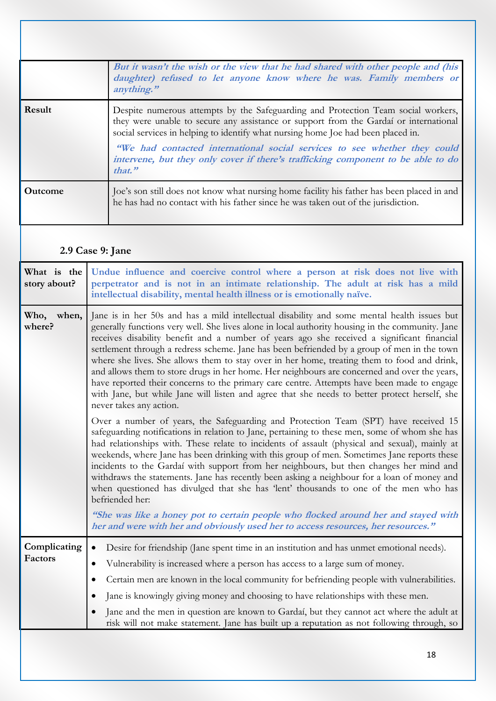|                | But it wasn't the wish or the view that he had shared with other people and (his<br>daughter) refused to let anyone know where he was. Family members or<br>anything."                                                                                                                                                                                                                                                                    |
|----------------|-------------------------------------------------------------------------------------------------------------------------------------------------------------------------------------------------------------------------------------------------------------------------------------------------------------------------------------------------------------------------------------------------------------------------------------------|
| Result         | Despite numerous attempts by the Safeguarding and Protection Team social workers,<br>they were unable to secure any assistance or support from the Gardaí or international<br>social services in helping to identify what nursing home Joe had been placed in.<br>"We had contacted international social services to see whether they could<br>intervene, but they only cover if there's trafficking component to be able to do<br>that." |
| <b>Outcome</b> | Joe's son still does not know what nursing home facility his father has been placed in and<br>he has had no contact with his father since he was taken out of the jurisdiction.                                                                                                                                                                                                                                                           |

## **2.9 Case 9: Jane**

| What is the<br>story about? | Undue influence and coercive control where a person at risk does not live with<br>perpetrator and is not in an intimate relationship. The adult at risk has a mild<br>intellectual disability, mental health illness or is emotionally naïve.                                                                                                                                                                                                                                                                                                                                                                                                                                                                                                                                                                         |
|-----------------------------|-----------------------------------------------------------------------------------------------------------------------------------------------------------------------------------------------------------------------------------------------------------------------------------------------------------------------------------------------------------------------------------------------------------------------------------------------------------------------------------------------------------------------------------------------------------------------------------------------------------------------------------------------------------------------------------------------------------------------------------------------------------------------------------------------------------------------|
| Who,<br>when,<br>where?     | Jane is in her 50s and has a mild intellectual disability and some mental health issues but<br>generally functions very well. She lives alone in local authority housing in the community. Jane<br>receives disability benefit and a number of years ago she received a significant financial<br>settlement through a redress scheme. Jane has been befriended by a group of men in the town<br>where she lives. She allows them to stay over in her home, treating them to food and drink,<br>and allows them to store drugs in her home. Her neighbours are concerned and over the years,<br>have reported their concerns to the primary care centre. Attempts have been made to engage<br>with Jane, but while Jane will listen and agree that she needs to better protect herself, she<br>never takes any action. |
|                             | Over a number of years, the Safeguarding and Protection Team (SPT) have received 15<br>safeguarding notifications in relation to Jane, pertaining to these men, some of whom she has<br>had relationships with. These relate to incidents of assault (physical and sexual), mainly at<br>weekends, where Jane has been drinking with this group of men. Sometimes Jane reports these<br>incidents to the Gardaí with support from her neighbours, but then changes her mind and<br>withdraws the statements. Jane has recently been asking a neighbour for a loan of money and<br>when questioned has divulged that she has 'lent' thousands to one of the men who has<br>befriended her:                                                                                                                             |
|                             | "She was like a honey pot to certain people who flocked around her and stayed with<br>her and were with her and obviously used her to access resources, her resources."                                                                                                                                                                                                                                                                                                                                                                                                                                                                                                                                                                                                                                               |
| Complicating<br>Factors     | Desire for friendship (Jane spent time in an institution and has unmet emotional needs).<br>$\bullet$<br>Vulnerability is increased where a person has access to a large sum of money.<br>$\bullet$<br>Certain men are known in the local community for befriending people with vulnerabilities.<br>$\bullet$<br>Jane is knowingly giving money and choosing to have relationships with these men.<br>$\bullet$<br>Jane and the men in question are known to Gardaí, but they cannot act where the adult at<br>$\bullet$<br>risk will not make statement. Jane has built up a reputation as not following through, so                                                                                                                                                                                                 |
|                             | 18                                                                                                                                                                                                                                                                                                                                                                                                                                                                                                                                                                                                                                                                                                                                                                                                                    |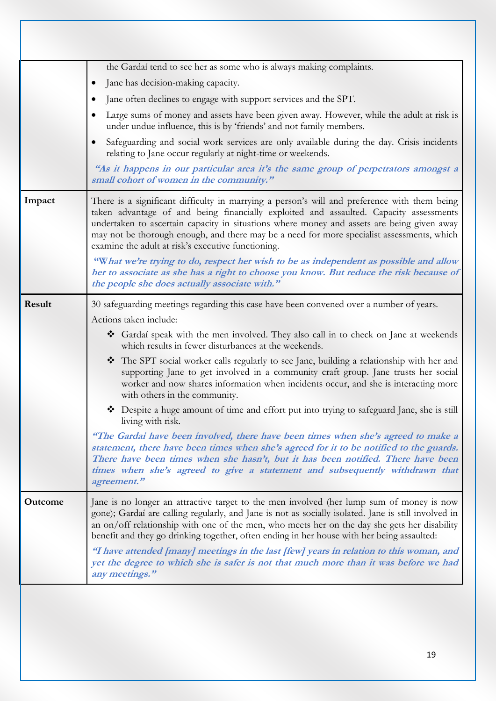|                | the Gardaí tend to see her as some who is always making complaints.                                                                                                                                                                                                                                                                                                                                                                      |
|----------------|------------------------------------------------------------------------------------------------------------------------------------------------------------------------------------------------------------------------------------------------------------------------------------------------------------------------------------------------------------------------------------------------------------------------------------------|
|                | Jane has decision-making capacity.<br>$\bullet$                                                                                                                                                                                                                                                                                                                                                                                          |
|                | Jane often declines to engage with support services and the SPT.<br>$\bullet$                                                                                                                                                                                                                                                                                                                                                            |
|                | Large sums of money and assets have been given away. However, while the adult at risk is<br>under undue influence, this is by 'friends' and not family members.                                                                                                                                                                                                                                                                          |
|                | Safeguarding and social work services are only available during the day. Crisis incidents<br>relating to Jane occur regularly at night-time or weekends.                                                                                                                                                                                                                                                                                 |
|                | "As it happens in our particular area it's the same group of perpetrators amongst a<br>small cohort of women in the community."                                                                                                                                                                                                                                                                                                          |
| Impact         | There is a significant difficulty in marrying a person's will and preference with them being<br>taken advantage of and being financially exploited and assaulted. Capacity assessments<br>undertaken to ascertain capacity in situations where money and assets are being given away<br>may not be thorough enough, and there may be a need for more specialist assessments, which<br>examine the adult at risk's executive functioning. |
|                | "What we're trying to do, respect her wish to be as independent as possible and allow<br>her to associate as she has a right to choose you know. But reduce the risk because of<br>the people she does actually associate with."                                                                                                                                                                                                         |
| Result         | 30 safeguarding meetings regarding this case have been convened over a number of years.                                                                                                                                                                                                                                                                                                                                                  |
|                | Actions taken include:                                                                                                                                                                                                                                                                                                                                                                                                                   |
|                | Gardaí speak with the men involved. They also call in to check on Jane at weekends<br>which results in fewer disturbances at the weekends.                                                                                                                                                                                                                                                                                               |
|                | The SPT social worker calls regularly to see Jane, building a relationship with her and<br>supporting Jane to get involved in a community craft group. Jane trusts her social<br>worker and now shares information when incidents occur, and she is interacting more<br>with others in the community.                                                                                                                                    |
|                | Despite a huge amount of time and effort put into trying to safeguard Jane, she is still<br>living with risk.                                                                                                                                                                                                                                                                                                                            |
|                | "The Gardai have been involved, there have been times when she's agreed to make a<br>statement, there have been times when she's agreed for it to be notified to the guards.<br>There have been times when she hasn't, but it has been notified. There have been<br>times when she's agreed to give a statement and subsequently withdrawn that<br>agreement."                                                                           |
| <b>Outcome</b> | Jane is no longer an attractive target to the men involved (her lump sum of money is now<br>gone); Gardaí are calling regularly, and Jane is not as socially isolated. Jane is still involved in<br>an on/off relationship with one of the men, who meets her on the day she gets her disability<br>benefit and they go drinking together, often ending in her house with her being assaulted:                                           |
|                | "I have attended [many] meetings in the last [few] years in relation to this woman, and<br>yet the degree to which she is safer is not that much more than it was before we had<br>any meetings."                                                                                                                                                                                                                                        |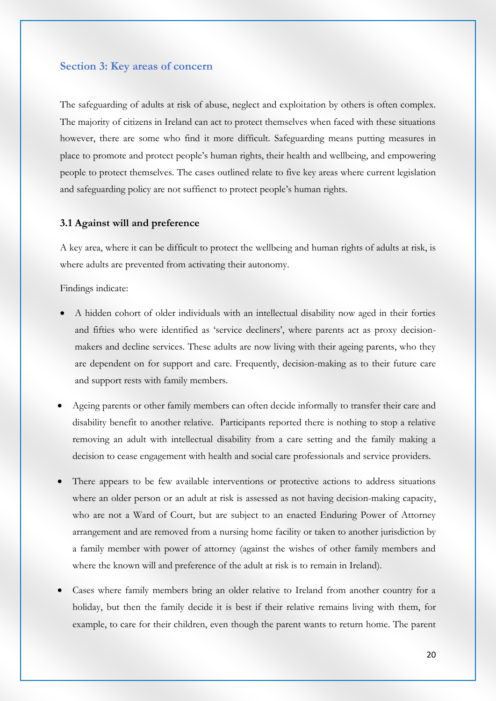#### **Section 3: Key areas of concern**

The safeguarding of adults at risk of abuse, neglect and exploitation by others is often complex. The majority of citizens in Ireland can act to protect themselves when faced with these situations however, there are some who find it more difficult. Safeguarding means putting measures in place to promote and protect people's human rights, their health and wellbeing, and empowering people to protect themselves. The cases outlined relate to five key areas where current legislation and safeguarding policy are not suffienct to protect people's human rights.

#### **3.1 Against will and preference**

A key area, where it can be difficult to protect the wellbeing and human rights of adults at risk, is where adults are prevented from activating their autonomy.

Findings indicate:

- A hidden cohort of older individuals with an intellectual disability now aged in their forties and fifties who were identified as 'service decliners', where parents act as proxy decisionmakers and decline services. These adults are now living with their ageing parents, who they are dependent on for support and care. Frequently, decision-making as to their future care and support rests with family members.
- Ageing parents or other family members can often decide informally to transfer their care and disability benefit to another relative. Participants reported there is nothing to stop a relative removing an adult with intellectual disability from a care setting and the family making a decision to cease engagement with health and social care professionals and service providers.
- There appears to be few available interventions or protective actions to address situations where an older person or an adult at risk is assessed as not having decision-making capacity, who are not a Ward of Court, but are subject to an enacted Enduring Power of Attorney arrangement and are removed from a nursing home facility or taken to another jurisdiction by a family member with power of attorney (against the wishes of other family members and where the known will and preference of the adult at risk is to remain in Ireland).
- Cases where family members bring an older relative to Ireland from another country for a holiday, but then the family decide it is best if their relative remains living with them, for example, to care for their children, even though the parent wants to return home. The parent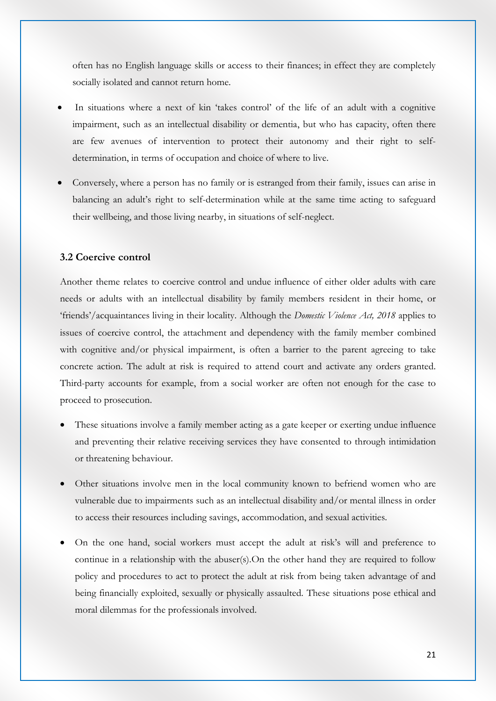often has no English language skills or access to their finances; in effect they are completely socially isolated and cannot return home.

- In situations where a next of kin 'takes control' of the life of an adult with a cognitive impairment, such as an intellectual disability or dementia, but who has capacity, often there are few avenues of intervention to protect their autonomy and their right to selfdetermination, in terms of occupation and choice of where to live.
- Conversely, where a person has no family or is estranged from their family, issues can arise in balancing an adult's right to self-determination while at the same time acting to safeguard their wellbeing, and those living nearby, in situations of self-neglect.

#### **3.2 Coercive control**

Another theme relates to coercive control and undue influence of either older adults with care needs or adults with an intellectual disability by family members resident in their home, or 'friends'/acquaintances living in their locality. Although the *Domestic Violence Act, 2018* applies to issues of coercive control, the attachment and dependency with the family member combined with cognitive and/or physical impairment, is often a barrier to the parent agreeing to take concrete action. The adult at risk is required to attend court and activate any orders granted. Third-party accounts for example, from a social worker are often not enough for the case to proceed to prosecution.

- These situations involve a family member acting as a gate keeper or exerting undue influence and preventing their relative receiving services they have consented to through intimidation or threatening behaviour.
- Other situations involve men in the local community known to befriend women who are vulnerable due to impairments such as an intellectual disability and/or mental illness in order to access their resources including savings, accommodation, and sexual activities.
- On the one hand, social workers must accept the adult at risk's will and preference to continue in a relationship with the abuser(s).On the other hand they are required to follow policy and procedures to act to protect the adult at risk from being taken advantage of and being financially exploited, sexually or physically assaulted. These situations pose ethical and moral dilemmas for the professionals involved.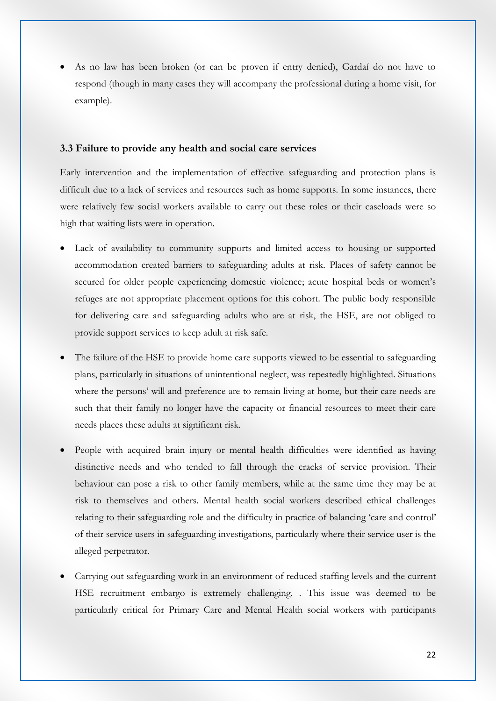As no law has been broken (or can be proven if entry denied), Gardaí do not have to respond (though in many cases they will accompany the professional during a home visit, for example).

#### **3.3 Failure to provide any health and social care services**

Early intervention and the implementation of effective safeguarding and protection plans is difficult due to a lack of services and resources such as home supports. In some instances, there were relatively few social workers available to carry out these roles or their caseloads were so high that waiting lists were in operation.

- Lack of availability to community supports and limited access to housing or supported accommodation created barriers to safeguarding adults at risk. Places of safety cannot be secured for older people experiencing domestic violence; acute hospital beds or women's refuges are not appropriate placement options for this cohort. The public body responsible for delivering care and safeguarding adults who are at risk, the HSE, are not obliged to provide support services to keep adult at risk safe.
- The failure of the HSE to provide home care supports viewed to be essential to safeguarding plans, particularly in situations of unintentional neglect, was repeatedly highlighted. Situations where the persons' will and preference are to remain living at home, but their care needs are such that their family no longer have the capacity or financial resources to meet their care needs places these adults at significant risk.
- People with acquired brain injury or mental health difficulties were identified as having distinctive needs and who tended to fall through the cracks of service provision. Their behaviour can pose a risk to other family members, while at the same time they may be at risk to themselves and others. Mental health social workers described ethical challenges relating to their safeguarding role and the difficulty in practice of balancing 'care and control' of their service users in safeguarding investigations, particularly where their service user is the alleged perpetrator.
- Carrying out safeguarding work in an environment of reduced staffing levels and the current HSE recruitment embargo is extremely challenging. . This issue was deemed to be particularly critical for Primary Care and Mental Health social workers with participants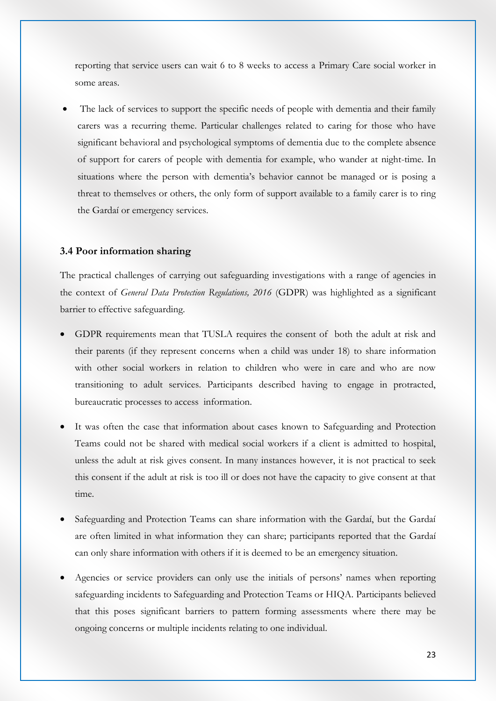reporting that service users can wait 6 to 8 weeks to access a Primary Care social worker in some areas.

 The lack of services to support the specific needs of people with dementia and their family carers was a recurring theme. Particular challenges related to caring for those who have significant behavioral and psychological symptoms of dementia due to the complete absence of support for carers of people with dementia for example, who wander at night-time. In situations where the person with dementia's behavior cannot be managed or is posing a threat to themselves or others, the only form of support available to a family carer is to ring the Gardaí or emergency services.

#### **3.4 Poor information sharing**

The practical challenges of carrying out safeguarding investigations with a range of agencies in the context of *General Data Protection Regulations, 2016* (GDPR) was highlighted as a significant barrier to effective safeguarding.

- GDPR requirements mean that TUSLA requires the consent of both the adult at risk and their parents (if they represent concerns when a child was under 18) to share information with other social workers in relation to children who were in care and who are now transitioning to adult services. Participants described having to engage in protracted, bureaucratic processes to access information.
- It was often the case that information about cases known to Safeguarding and Protection Teams could not be shared with medical social workers if a client is admitted to hospital, unless the adult at risk gives consent. In many instances however, it is not practical to seek this consent if the adult at risk is too ill or does not have the capacity to give consent at that time.
- Safeguarding and Protection Teams can share information with the Gardaí, but the Gardaí are often limited in what information they can share; participants reported that the Gardaí can only share information with others if it is deemed to be an emergency situation.
- Agencies or service providers can only use the initials of persons' names when reporting safeguarding incidents to Safeguarding and Protection Teams or HIQA. Participants believed that this poses significant barriers to pattern forming assessments where there may be ongoing concerns or multiple incidents relating to one individual.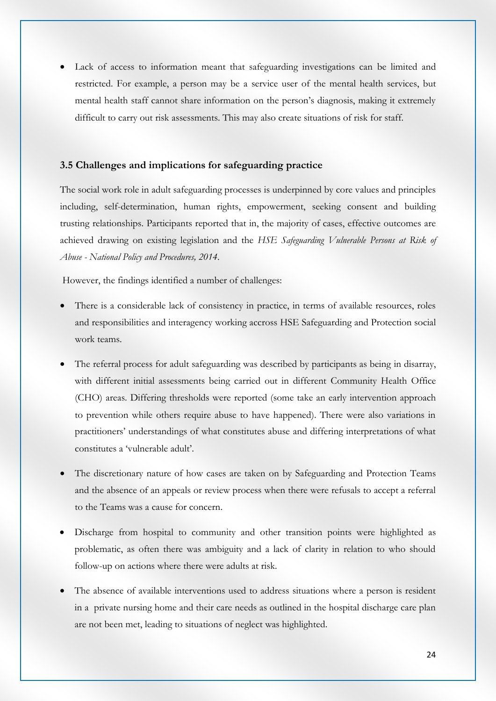Lack of access to information meant that safeguarding investigations can be limited and restricted. For example, a person may be a service user of the mental health services, but mental health staff cannot share information on the person's diagnosis, making it extremely difficult to carry out risk assessments. This may also create situations of risk for staff.

#### **3.5 Challenges and implications for safeguarding practice**

The social work role in adult safeguarding processes is underpinned by core values and principles including, self-determination, human rights, empowerment, seeking consent and building trusting relationships. Participants reported that in, the majority of cases, effective outcomes are achieved drawing on existing legislation and the *HSE Safeguarding Vulnerable Persons at Risk of Abuse - National Policy and Procedures, 2014*.

However, the findings identified a number of challenges:

- There is a considerable lack of consistency in practice, in terms of available resources, roles and responsibilities and interagency working accross HSE Safeguarding and Protection social work teams.
- The referral process for adult safeguarding was described by participants as being in disarray, with different initial assessments being carried out in different Community Health Office (CHO) areas. Differing thresholds were reported (some take an early intervention approach to prevention while others require abuse to have happened). There were also variations in practitioners' understandings of what constitutes abuse and differing interpretations of what constitutes a 'vulnerable adult'.
- The discretionary nature of how cases are taken on by Safeguarding and Protection Teams and the absence of an appeals or review process when there were refusals to accept a referral to the Teams was a cause for concern.
- Discharge from hospital to community and other transition points were highlighted as problematic, as often there was ambiguity and a lack of clarity in relation to who should follow-up on actions where there were adults at risk.
- The absence of available interventions used to address situations where a person is resident in a private nursing home and their care needs as outlined in the hospital discharge care plan are not been met, leading to situations of neglect was highlighted.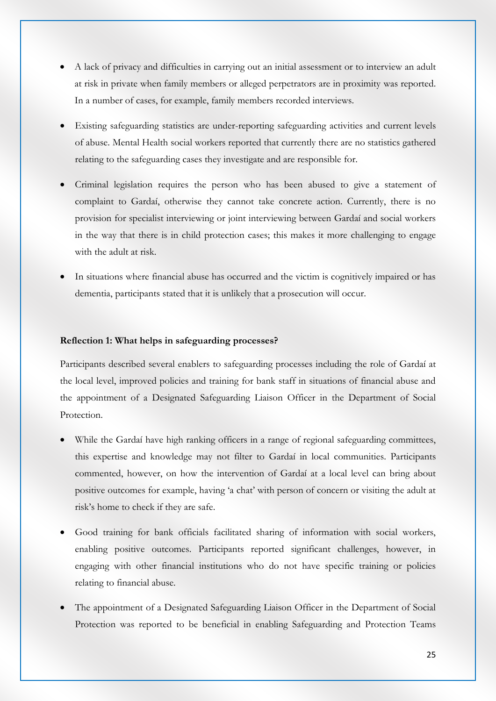- A lack of privacy and difficulties in carrying out an initial assessment or to interview an adult at risk in private when family members or alleged perpetrators are in proximity was reported. In a number of cases, for example, family members recorded interviews.
- Existing safeguarding statistics are under-reporting safeguarding activities and current levels of abuse. Mental Health social workers reported that currently there are no statistics gathered relating to the safeguarding cases they investigate and are responsible for.
- Criminal legislation requires the person who has been abused to give a statement of complaint to Gardaí, otherwise they cannot take concrete action. Currently, there is no provision for specialist interviewing or joint interviewing between Gardaí and social workers in the way that there is in child protection cases; this makes it more challenging to engage with the adult at risk.
- In situations where financial abuse has occurred and the victim is cognitively impaired or has dementia, participants stated that it is unlikely that a prosecution will occur.

#### **Reflection 1: What helps in safeguarding processes?**

Participants described several enablers to safeguarding processes including the role of Gardaí at the local level, improved policies and training for bank staff in situations of financial abuse and the appointment of a Designated Safeguarding Liaison Officer in the Department of Social Protection.

- While the Gardaí have high ranking officers in a range of regional safeguarding committees, this expertise and knowledge may not filter to Gardaí in local communities. Participants commented, however, on how the intervention of Gardaí at a local level can bring about positive outcomes for example, having 'a chat' with person of concern or visiting the adult at risk's home to check if they are safe.
- Good training for bank officials facilitated sharing of information with social workers, enabling positive outcomes. Participants reported significant challenges, however, in engaging with other financial institutions who do not have specific training or policies relating to financial abuse.
- The appointment of a Designated Safeguarding Liaison Officer in the Department of Social Protection was reported to be beneficial in enabling Safeguarding and Protection Teams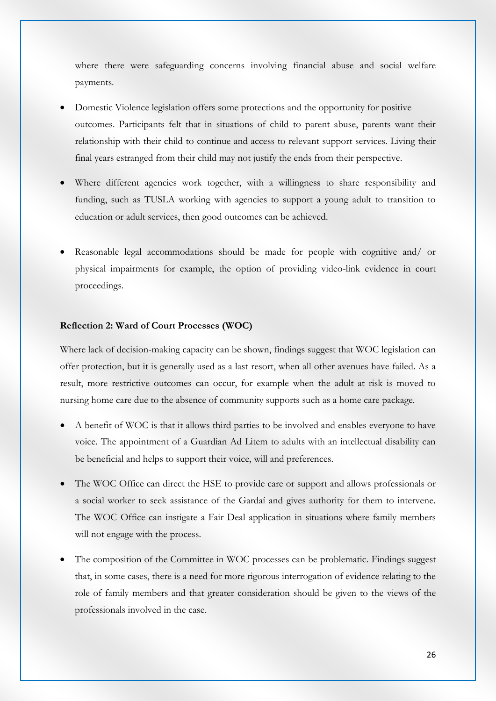where there were safeguarding concerns involving financial abuse and social welfare payments.

- Domestic Violence legislation offers some protections and the opportunity for positive outcomes. Participants felt that in situations of child to parent abuse, parents want their relationship with their child to continue and access to relevant support services. Living their final years estranged from their child may not justify the ends from their perspective.
- Where different agencies work together, with a willingness to share responsibility and funding, such as TUSLA working with agencies to support a young adult to transition to education or adult services, then good outcomes can be achieved.
- Reasonable legal accommodations should be made for people with cognitive and/ or physical impairments for example, the option of providing video-link evidence in court proceedings.

#### **Reflection 2: Ward of Court Processes (WOC)**

Where lack of decision-making capacity can be shown, findings suggest that WOC legislation can offer protection, but it is generally used as a last resort, when all other avenues have failed. As a result, more restrictive outcomes can occur, for example when the adult at risk is moved to nursing home care due to the absence of community supports such as a home care package.

- A benefit of WOC is that it allows third parties to be involved and enables everyone to have voice. The appointment of a Guardian Ad Litem to adults with an intellectual disability can be beneficial and helps to support their voice, will and preferences.
- The WOC Office can direct the HSE to provide care or support and allows professionals or a social worker to seek assistance of the Gardaí and gives authority for them to intervene. The WOC Office can instigate a Fair Deal application in situations where family members will not engage with the process.
- The composition of the Committee in WOC processes can be problematic. Findings suggest that, in some cases, there is a need for more rigorous interrogation of evidence relating to the role of family members and that greater consideration should be given to the views of the professionals involved in the case.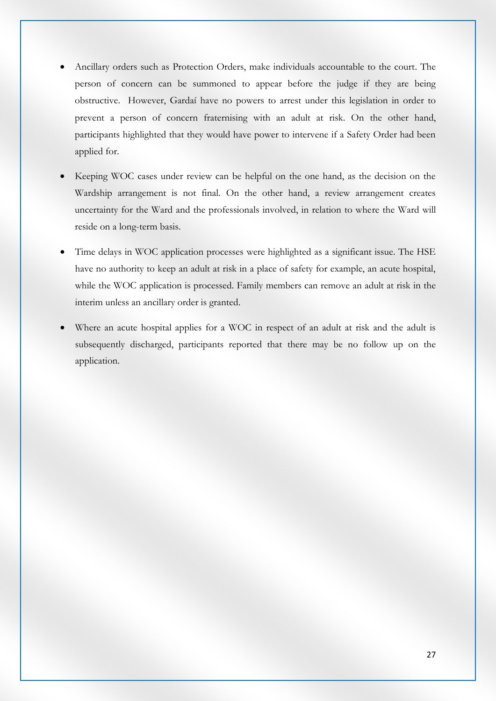- Ancillary orders such as Protection Orders, make individuals accountable to the court. The person of concern can be summoned to appear before the judge if they are being obstructive. However, Gardaí have no powers to arrest under this legislation in order to prevent a person of concern fraternising with an adult at risk. On the other hand, participants highlighted that they would have power to intervene if a Safety Order had been applied for.
- Keeping WOC cases under review can be helpful on the one hand, as the decision on the Wardship arrangement is not final. On the other hand, a review arrangement creates uncertainty for the Ward and the professionals involved, in relation to where the Ward will reside on a long-term basis.
- Time delays in WOC application processes were highlighted as a significant issue. The HSE have no authority to keep an adult at risk in a place of safety for example, an acute hospital, while the WOC application is processed. Family members can remove an adult at risk in the interim unless an ancillary order is granted.
- Where an acute hospital applies for a WOC in respect of an adult at risk and the adult is subsequently discharged, participants reported that there may be no follow up on the application.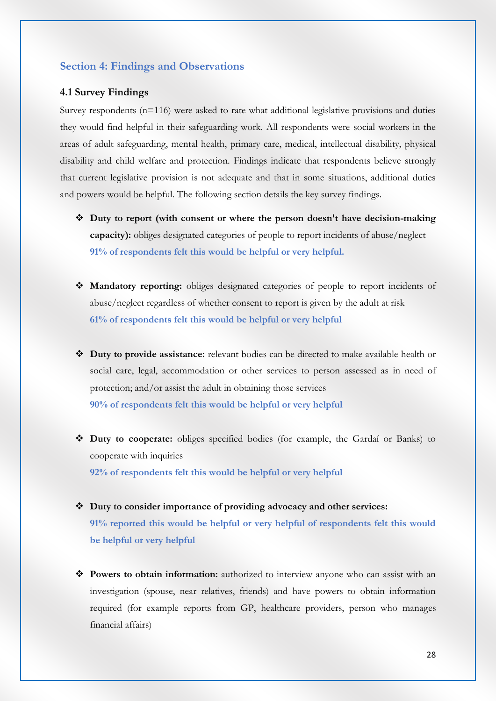#### **Section 4: Findings and Observations**

#### **4.1 Survey Findings**

Survey respondents  $(n=116)$  were asked to rate what additional legislative provisions and duties they would find helpful in their safeguarding work. All respondents were social workers in the areas of adult safeguarding, mental health, primary care, medical, intellectual disability, physical disability and child welfare and protection. Findings indicate that respondents believe strongly that current legislative provision is not adequate and that in some situations, additional duties and powers would be helpful. The following section details the key survey findings.

- **Duty to report (with consent or where the person doesn't have decision-making capacity):** obliges designated categories of people to report incidents of abuse/neglect **91% of respondents felt this would be helpful or very helpful.**
- **Mandatory reporting:** obliges designated categories of people to report incidents of abuse/neglect regardless of whether consent to report is given by the adult at risk **61% of respondents felt this would be helpful or very helpful**
- **Duty to provide assistance:** relevant bodies can be directed to make available health or social care, legal, accommodation or other services to person assessed as in need of protection; and/or assist the adult in obtaining those services **90% of respondents felt this would be helpful or very helpful**
- **Duty to cooperate:** obliges specified bodies (for example, the Gardaí or Banks) to cooperate with inquiries **92% of respondents felt this would be helpful or very helpful**
- **Duty to consider importance of providing advocacy and other services: 91% reported this would be helpful or very helpful of respondents felt this would be helpful or very helpful**
- **Powers to obtain information:** authorized to interview anyone who can assist with an investigation (spouse, near relatives, friends) and have powers to obtain information required (for example reports from GP, healthcare providers, person who manages financial affairs)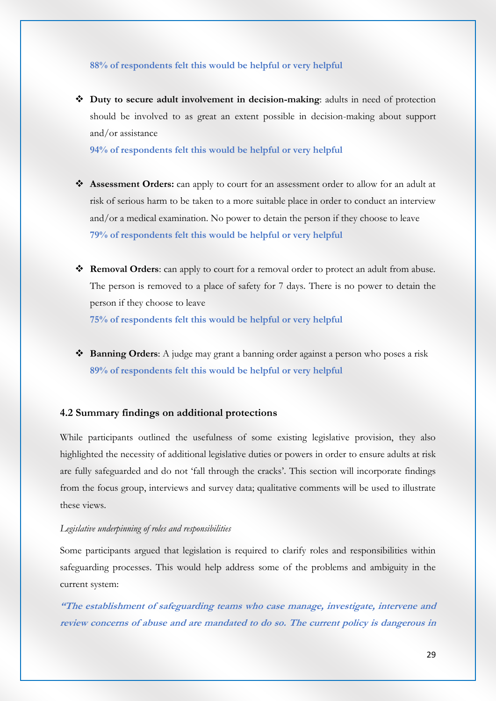#### **88% of respondents felt this would be helpful or very helpful**

 **Duty to secure adult involvement in decision-making**: adults in need of protection should be involved to as great an extent possible in decision-making about support and/or assistance

**94% of respondents felt this would be helpful or very helpful**

- **Assessment Orders:** can apply to court for an assessment order to allow for an adult at risk of serious harm to be taken to a more suitable place in order to conduct an interview and/or a medical examination. No power to detain the person if they choose to leave **79% of respondents felt this would be helpful or very helpful**
- **Removal Orders**: can apply to court for a removal order to protect an adult from abuse. The person is removed to a place of safety for 7 days. There is no power to detain the person if they choose to leave

**75% of respondents felt this would be helpful or very helpful**

 **Banning Orders**: A judge may grant a banning order against a person who poses a risk **89% of respondents felt this would be helpful or very helpful**

#### **4.2 Summary findings on additional protections**

While participants outlined the usefulness of some existing legislative provision, they also highlighted the necessity of additional legislative duties or powers in order to ensure adults at risk are fully safeguarded and do not 'fall through the cracks'. This section will incorporate findings from the focus group, interviews and survey data; qualitative comments will be used to illustrate these views.

#### *Legislative underpinning of roles and responsibilities*

Some participants argued that legislation is required to clarify roles and responsibilities within safeguarding processes. This would help address some of the problems and ambiguity in the current system:

**"The establishment of safeguarding teams who case manage, investigate, intervene and review concerns of abuse and are mandated to do so. The current policy is dangerous in**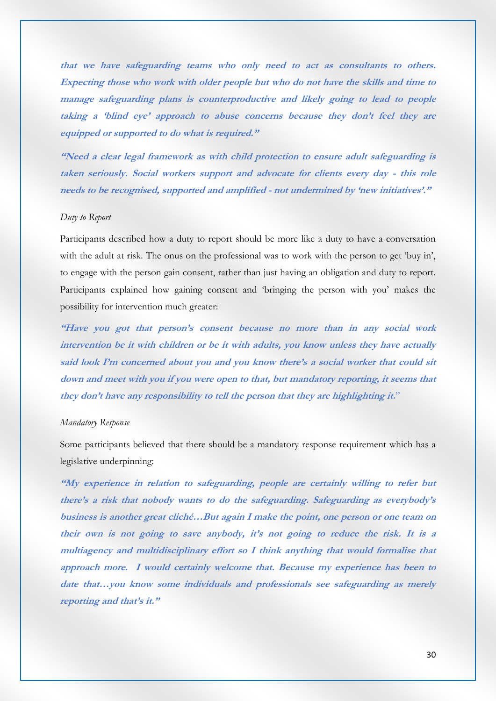**that we have safeguarding teams who only need to act as consultants to others. Expecting those who work with older people but who do not have the skills and time to manage safeguarding plans is counterproductive and likely going to lead to people taking a 'blind eye' approach to abuse concerns because they don't feel they are equipped or supported to do what is required."**

**"Need a clear legal framework as with child protection to ensure adult safeguarding is taken seriously. Social workers support and advocate for clients every day - this role needs to be recognised, supported and amplified - not undermined by 'new initiatives'."**

#### *Duty to Report*

Participants described how a duty to report should be more like a duty to have a conversation with the adult at risk. The onus on the professional was to work with the person to get 'buy in', to engage with the person gain consent, rather than just having an obligation and duty to report. Participants explained how gaining consent and 'bringing the person with you' makes the possibility for intervention much greater:

**"Have you got that person's consent because no more than in any social work intervention be it with children or be it with adults, you know unless they have actually said look I'm concerned about you and you know there's a social worker that could sit down and meet with you if you were open to that, but mandatory reporting, it seems that they don't have any responsibility to tell the person that they are highlighting it.**"

#### *Mandatory Response*

Some participants believed that there should be a mandatory response requirement which has a legislative underpinning:

**"My experience in relation to safeguarding, people are certainly willing to refer but there's a risk that nobody wants to do the safeguarding. Safeguarding as everybody's business is another great cliché…But again I make the point, one person or one team on their own is not going to save anybody, it's not going to reduce the risk. It is a multiagency and multidisciplinary effort so I think anything that would formalise that approach more. I would certainly welcome that. Because my experience has been to date that…you know some individuals and professionals see safeguarding as merely reporting and that's it."**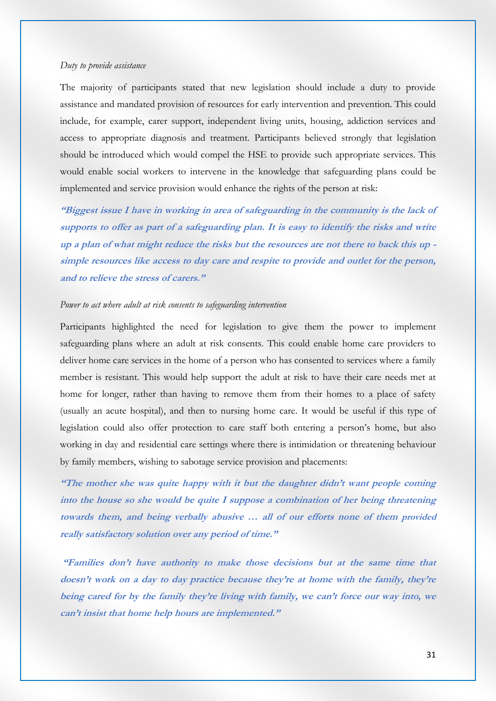#### *Duty to provide assistance*

The majority of participants stated that new legislation should include a duty to provide assistance and mandated provision of resources for early intervention and prevention. This could include, for example, carer support, independent living units, housing, addiction services and access to appropriate diagnosis and treatment. Participants believed strongly that legislation should be introduced which would compel the HSE to provide such appropriate services. This would enable social workers to intervene in the knowledge that safeguarding plans could be implemented and service provision would enhance the rights of the person at risk:

**"Biggest issue I have in working in area of safeguarding in the community is the lack of supports to offer as part of a safeguarding plan. It is easy to identify the risks and write up a plan of what might reduce the risks but the resources are not there to back this up simple resources like access to day care and respite to provide and outlet for the person, and to relieve the stress of carers."**

#### *Power to act where adult at risk consents to safeguarding intervention*

Participants highlighted the need for legislation to give them the power to implement safeguarding plans where an adult at risk consents. This could enable home care providers to deliver home care services in the home of a person who has consented to services where a family member is resistant. This would help support the adult at risk to have their care needs met at home for longer, rather than having to remove them from their homes to a place of safety (usually an acute hospital), and then to nursing home care. It would be useful if this type of legislation could also offer protection to care staff both entering a person's home, but also working in day and residential care settings where there is intimidation or threatening behaviour by family members, wishing to sabotage service provision and placements:

**"The mother she was quite happy with it but the daughter didn't want people coming into the house so she would be quite I suppose a combination of her being threatening towards them, and being verbally abusive … all of our efforts none of them provided really satisfactory solution over any period of time."**

**"Families don't have authority to make those decisions but at the same time that doesn't work on a day to day practice because they're at home with the family, they're being cared for by the family they're living with family, we can't force our way into, we can't insist that home help hours are implemented."**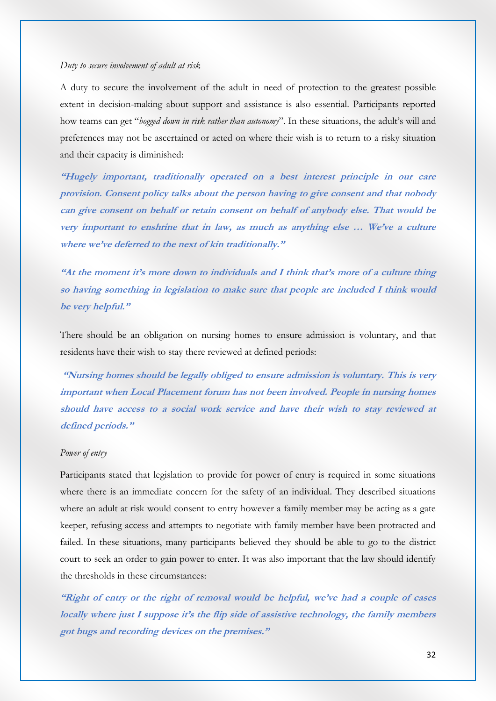#### *Duty to secure involvement of adult at risk*

A duty to secure the involvement of the adult in need of protection to the greatest possible extent in decision-making about support and assistance is also essential. Participants reported how teams can get "*bogged down in risk rather than autonomy*". In these situations, the adult's will and preferences may not be ascertained or acted on where their wish is to return to a risky situation and their capacity is diminished:

**"Hugely important, traditionally operated on a best interest principle in our care provision. Consent policy talks about the person having to give consent and that nobody can give consent on behalf or retain consent on behalf of anybody else. That would be very important to enshrine that in law, as much as anything else … We've a culture where we've deferred to the next of kin traditionally."** 

**"At the moment it's more down to individuals and I think that's more of a culture thing so having something in legislation to make sure that people are included I think would be very helpful."**

There should be an obligation on nursing homes to ensure admission is voluntary, and that residents have their wish to stay there reviewed at defined periods:

**"Nursing homes should be legally obliged to ensure admission is voluntary. This is very important when Local Placement forum has not been involved. People in nursing homes should have access to a social work service and have their wish to stay reviewed at defined periods."**

#### *Power of entry*

Participants stated that legislation to provide for power of entry is required in some situations where there is an immediate concern for the safety of an individual. They described situations where an adult at risk would consent to entry however a family member may be acting as a gate keeper, refusing access and attempts to negotiate with family member have been protracted and failed. In these situations, many participants believed they should be able to go to the district court to seek an order to gain power to enter. It was also important that the law should identify the thresholds in these circumstances:

**"Right of entry or the right of removal would be helpful, we've had a couple of cases locally where just I suppose it's the flip side of assistive technology, the family members got bugs and recording devices on the premises."**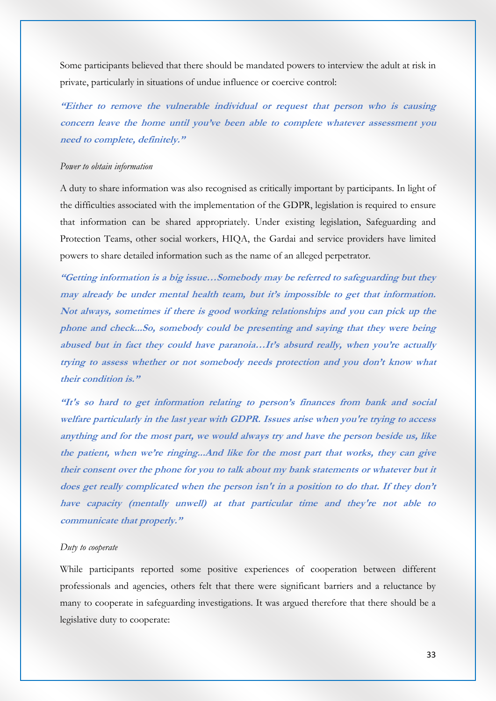Some participants believed that there should be mandated powers to interview the adult at risk in private, particularly in situations of undue influence or coercive control:

**"Either to remove the vulnerable individual or request that person who is causing concern leave the home until you've been able to complete whatever assessment you need to complete, definitely."**

#### *Power to obtain information*

A duty to share information was also recognised as critically important by participants. In light of the difficulties associated with the implementation of the GDPR, legislation is required to ensure that information can be shared appropriately. Under existing legislation, Safeguarding and Protection Teams, other social workers, HIQA, the Gardai and service providers have limited powers to share detailed information such as the name of an alleged perpetrator.

**"Getting information is a big issue…Somebody may be referred to safeguarding but they may already be under mental health team, but it's impossible to get that information. Not always, sometimes if there is good working relationships and you can pick up the phone and check...So, somebody could be presenting and saying that they were being abused but in fact they could have paranoia…It's absurd really, when you're actually trying to assess whether or not somebody needs protection and you don't know what their condition is."**

**"It's so hard to get information relating to person's finances from bank and social welfare particularly in the last year with GDPR. Issues arise when you're trying to access anything and for the most part, we would always try and have the person beside us, like the patient, when we're ringing...And like for the most part that works, they can give their consent over the phone for you to talk about my bank statements or whatever but it does get really complicated when the person isn't in a position to do that. If they don't have capacity (mentally unwell) at that particular time and they're not able to communicate that properly."**

#### *Duty to cooperate*

While participants reported some positive experiences of cooperation between different professionals and agencies, others felt that there were significant barriers and a reluctance by many to cooperate in safeguarding investigations. It was argued therefore that there should be a legislative duty to cooperate: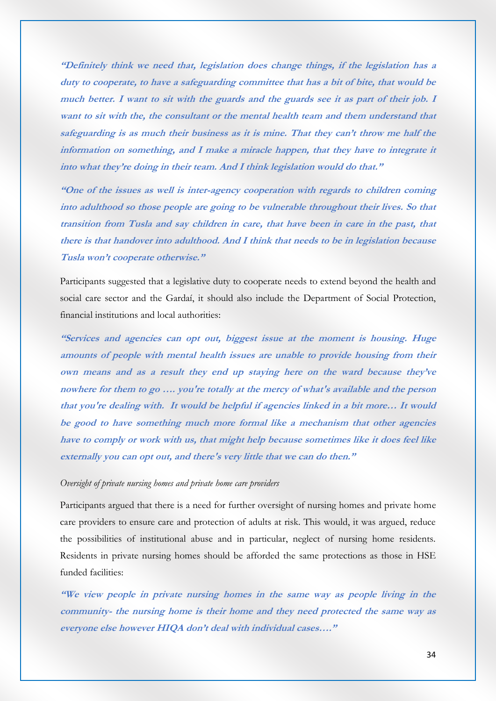**"Definitely think we need that, legislation does change things, if the legislation has a duty to cooperate, to have a safeguarding committee that has a bit of bite, that would be**  much better. I want to sit with the guards and the guards see it as part of their job. I **want to sit with the, the consultant or the mental health team and them understand that safeguarding is as much their business as it is mine. That they can't throw me half the information on something, and I make a miracle happen, that they have to integrate it into what they're doing in their team. And I think legislation would do that."**

**"One of the issues as well is inter-agency cooperation with regards to children coming into adulthood so those people are going to be vulnerable throughout their lives. So that transition from Tusla and say children in care, that have been in care in the past, that there is that handover into adulthood. And I think that needs to be in legislation because Tusla won't cooperate otherwise."**

Participants suggested that a legislative duty to cooperate needs to extend beyond the health and social care sector and the Gardaí, it should also include the Department of Social Protection, financial institutions and local authorities:

**"Services and agencies can opt out, biggest issue at the moment is housing. Huge amounts of people with mental health issues are unable to provide housing from their own means and as a result they end up staying here on the ward because they've nowhere for them to go …. you're totally at the mercy of what's available and the person that you're dealing with. It would be helpful if agencies linked in a bit more… It would be good to have something much more formal like a mechanism that other agencies have to comply or work with us, that might help because sometimes like it does feel like externally you can opt out, and there's very little that we can do then."**

#### *Oversight of private nursing homes and private home care providers*

Participants argued that there is a need for further oversight of nursing homes and private home care providers to ensure care and protection of adults at risk. This would, it was argued, reduce the possibilities of institutional abuse and in particular, neglect of nursing home residents. Residents in private nursing homes should be afforded the same protections as those in HSE funded facilities:

**"We view people in private nursing homes in the same way as people living in the community- the nursing home is their home and they need protected the same way as everyone else however HIQA don't deal with individual cases…."**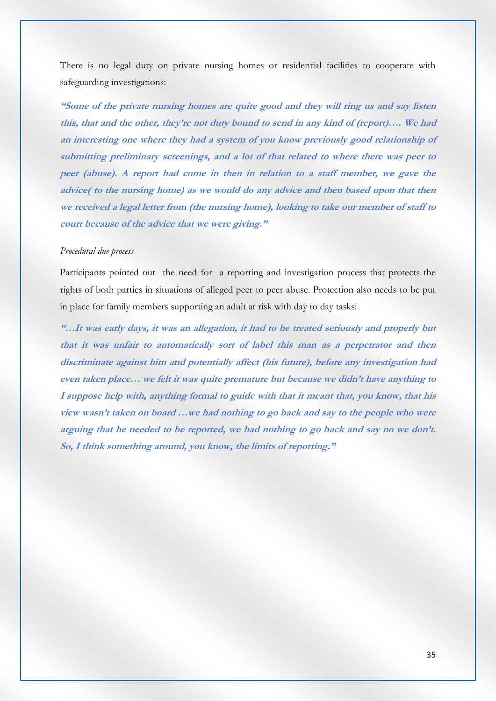There is no legal duty on private nursing homes or residential facilities to cooperate with safeguarding investigations:

**"Some of the private nursing homes are quite good and they will ring us and say listen this, that and the other, they're not duty bound to send in any kind of (report)…. We had an interesting one where they had a system of you know previously good relationship of submitting preliminary screenings, and a lot of that related to where there was peer to peer (abuse). A report had come in then in relation to a staff member, we gave the advice( to the nursing home) as we would do any advice and then based upon that then we received a legal letter from (the nursing home), looking to take our member of staff to court because of the advice that we were giving."**

#### *Procedural due process*

Participants pointed out the need for a reporting and investigation process that protects the rights of both parties in situations of alleged peer to peer abuse. Protection also needs to be put in place for family members supporting an adult at risk with day to day tasks:

**"…It was early days, it was an allegation, it had to be treated seriously and properly but that it was unfair to automatically sort of label this man as a perpetrator and then discriminate against him and potentially affect (his future), before any investigation had even taken place… we felt it was quite premature but because we didn't have anything to I suppose help with, anything formal to guide with that it meant that, you know, that his view wasn't taken on board …we had nothing to go back and say to the people who were arguing that he needed to be reported, we had nothing to go back and say no we don't. So, I think something around, you know, the limits of reporting."**